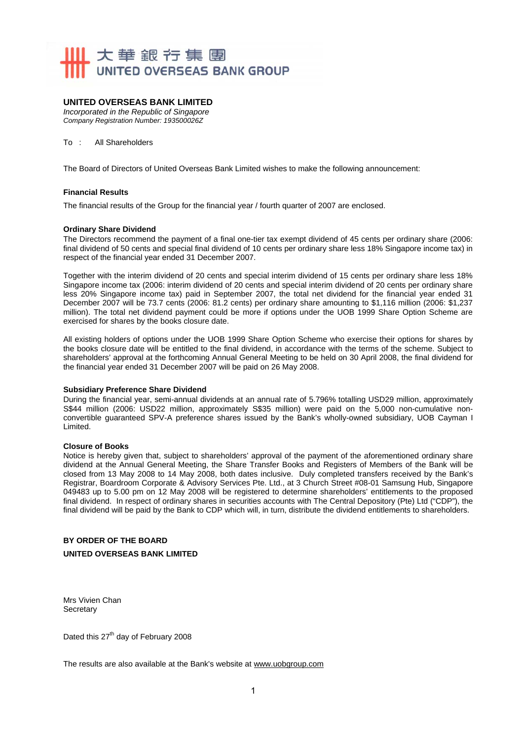

### **UNITED OVERSEAS BANK LIMITED**

*Incorporated in the Republic of Singapore Company Registration Number: 193500026Z* 

To : All Shareholders

The Board of Directors of United Overseas Bank Limited wishes to make the following announcement:

#### **Financial Results**

The financial results of the Group for the financial year / fourth quarter of 2007 are enclosed.

#### **Ordinary Share Dividend**

The Directors recommend the payment of a final one-tier tax exempt dividend of 45 cents per ordinary share (2006: final dividend of 50 cents and special final dividend of 10 cents per ordinary share less 18% Singapore income tax) in respect of the financial year ended 31 December 2007.

Together with the interim dividend of 20 cents and special interim dividend of 15 cents per ordinary share less 18% Singapore income tax (2006: interim dividend of 20 cents and special interim dividend of 20 cents per ordinary share less 20% Singapore income tax) paid in September 2007, the total net dividend for the financial year ended 31 December 2007 will be 73.7 cents (2006: 81.2 cents) per ordinary share amounting to \$1,116 million (2006: \$1,237 million). The total net dividend payment could be more if options under the UOB 1999 Share Option Scheme are exercised for shares by the books closure date.

All existing holders of options under the UOB 1999 Share Option Scheme who exercise their options for shares by the books closure date will be entitled to the final dividend, in accordance with the terms of the scheme. Subject to shareholders' approval at the forthcoming Annual General Meeting to be held on 30 April 2008, the final dividend for the financial year ended 31 December 2007 will be paid on 26 May 2008.

#### **Subsidiary Preference Share Dividend**

During the financial year, semi-annual dividends at an annual rate of 5.796% totalling USD29 million, approximately S\$44 million (2006: USD22 million, approximately S\$35 million) were paid on the 5,000 non-cumulative nonconvertible guaranteed SPV-A preference shares issued by the Bank's wholly-owned subsidiary, UOB Cayman I Limited.

#### **Closure of Books**

Notice is hereby given that, subject to shareholders' approval of the payment of the aforementioned ordinary share dividend at the Annual General Meeting, the Share Transfer Books and Registers of Members of the Bank will be closed from 13 May 2008 to 14 May 2008, both dates inclusive. Duly completed transfers received by the Bank's Registrar, Boardroom Corporate & Advisory Services Pte. Ltd., at 3 Church Street #08-01 Samsung Hub, Singapore 049483 up to 5.00 pm on 12 May 2008 will be registered to determine shareholders' entitlements to the proposed final dividend. In respect of ordinary shares in securities accounts with The Central Depository (Pte) Ltd ("CDP"), the final dividend will be paid by the Bank to CDP which will, in turn, distribute the dividend entitlements to shareholders.

### **BY ORDER OF THE BOARD UNITED OVERSEAS BANK LIMITED**

Mrs Vivien Chan **Secretary** 

Dated this 27<sup>th</sup> day of February 2008

The results are also available at the Bank's website at www.uobgroup.com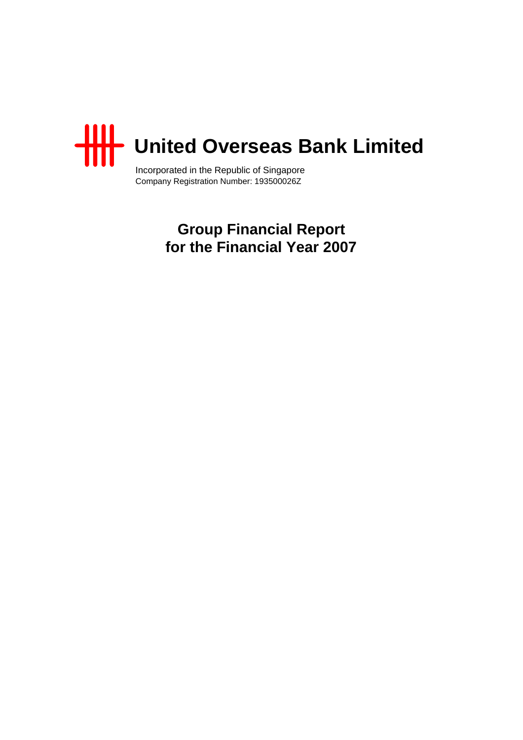

Incorporated in the Republic of Singapore Company Registration Number: 193500026Z

> **Group Financial Report for the Financial Year 2007**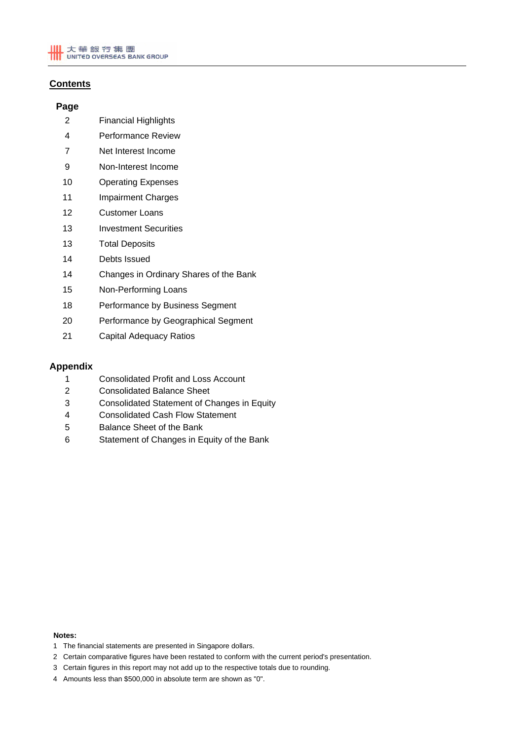# **Contents**

# **Page**

- 2 Financial Highlights
- 4 Performance Review
- 7 Net Interest Income
- 9 Non-Interest Income
- 10 Operating Expenses
- 11 Impairment Charges
- 12 Customer Loans
- 13 Investment Securities
- 13 Total Deposits
- 14 Debts Issued
- 14 Changes in Ordinary Shares of the Bank
- 15 Non-Performing Loans
- 18 Performance by Business Segment
- 20 Performance by Geographical Segment
- 21 Capital Adequacy Ratios

# **Appendix**

- 1 Consolidated Profit and Loss Account
- 2 Consolidated Balance Sheet
- 3 Consolidated Statement of Changes in Equity
- 4 Consolidated Cash Flow Statement
- 5 Balance Sheet of the Bank
- 6 Statement of Changes in Equity of the Bank

#### **Notes:**

- 1 The financial statements are presented in Singapore dollars.
- 2 Certain comparative figures have been restated to conform with the current period's presentation.
- 3 Certain figures in this report may not add up to the respective totals due to rounding.
- 4 Amounts less than \$500,000 in absolute term are shown as "0".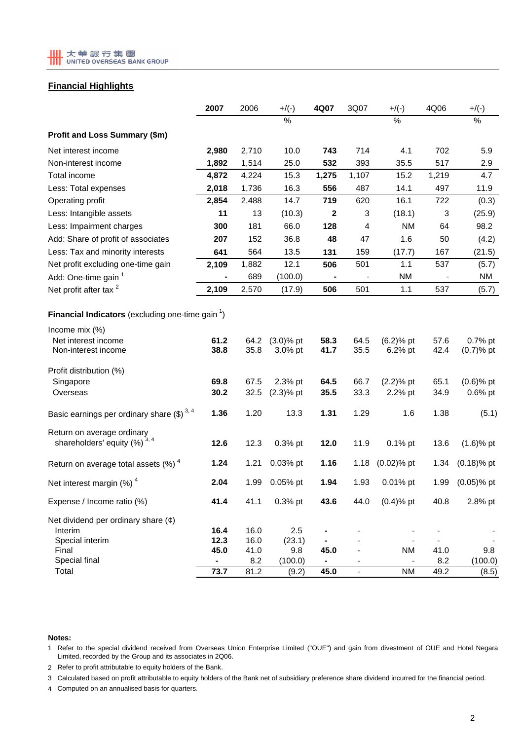# **Financial Highlights**

|                                                                | 2007         | 2006         | $+$ /(-)                   | 4Q07         | 3Q07           | $+/(-)$                 | 4Q06         | $+/(-)$                   |
|----------------------------------------------------------------|--------------|--------------|----------------------------|--------------|----------------|-------------------------|--------------|---------------------------|
|                                                                |              |              | $\frac{0}{0}$              |              |                | %                       |              | $\%$                      |
| Profit and Loss Summary (\$m)                                  |              |              |                            |              |                |                         |              |                           |
| Net interest income                                            | 2,980        | 2,710        | 10.0                       | 743          | 714            | 4.1                     | 702          | 5.9                       |
| Non-interest income                                            | 1,892        | 1,514        | 25.0                       | 532          | 393            | 35.5                    | 517          | 2.9                       |
| Total income                                                   | 4,872        | 4,224        | 15.3                       | 1,275        | 1,107          | 15.2                    | 1,219        | 4.7                       |
| Less: Total expenses                                           | 2,018        | 1,736        | 16.3                       | 556          | 487            | 14.1                    | 497          | 11.9                      |
| Operating profit                                               | 2,854        | 2,488        | 14.7                       | 719          | 620            | 16.1                    | 722          | (0.3)                     |
| Less: Intangible assets                                        | 11           | 13           | (10.3)                     | $\mathbf{2}$ | 3              | (18.1)                  | 3            | (25.9)                    |
| Less: Impairment charges                                       | 300          | 181          | 66.0                       | 128          | 4              | NM                      | 64           | 98.2                      |
| Add: Share of profit of associates                             | 207          | 152          | 36.8                       | 48           | 47             | 1.6                     | 50           | (4.2)                     |
| Less: Tax and minority interests                               | 641          | 564          | 13.5                       | 131          | 159            | (17.7)                  | 167          | (21.5)                    |
| Net profit excluding one-time gain                             | 2,109        | 1,882        | 12.1                       | 506          | 501            | 1.1                     | 537          | (5.7)                     |
| Add: One-time gain 1                                           |              | 689          | (100.0)                    |              |                | NM                      |              | NM                        |
| Net profit after tax <sup>2</sup>                              | 2,109        | 2,570        | (17.9)                     | 506          | 501            | 1.1                     | 537          | (5.7)                     |
| Financial Indicators (excluding one-time gain <sup>1</sup> )   |              |              |                            |              |                |                         |              |                           |
| Income mix (%)<br>Net interest income<br>Non-interest income   | 61.2<br>38.8 | 64.2<br>35.8 | $(3.0)$ % pt<br>$3.0\%$ pt | 58.3<br>41.7 | 64.5<br>35.5   | $(6.2)$ % pt<br>6.2% pt | 57.6<br>42.4 | 0.7% pt<br>$(0.7)$ % pt   |
| Profit distribution (%)                                        |              |              |                            |              |                |                         |              |                           |
| Singapore<br>Overseas                                          | 69.8<br>30.2 | 67.5<br>32.5 | 2.3% pt<br>$(2.3)$ % pt    | 64.5<br>35.5 | 66.7<br>33.3   | $(2.2)$ % pt<br>2.2% pt | 65.1<br>34.9 | $(0.6)$ % pt<br>$0.6%$ pt |
| Basic earnings per ordinary share $(\$)^{3,4}$                 | 1.36         | 1.20         | 13.3                       | 1.31         | 1.29           | 1.6                     | 1.38         | (5.1)                     |
| Return on average ordinary<br>shareholders' equity $(%)^{3,4}$ | 12.6         | 12.3         | 0.3% pt                    | 12.0         | 11.9           | $0.1\%$ pt              | 13.6         | $(1.6)$ % pt              |
| Return on average total assets $(\%)$ <sup>4</sup>             | 1.24         | 1.21         | 0.03% pt                   | 1.16         | 1.18           | $(0.02)$ % pt           | 1.34         | $(0.18)$ % pt             |
| Net interest margin $(%)4$                                     | 2.04         | 1.99         | 0.05% pt                   | 1.94         | 1.93           | $0.01%$ pt              | 1.99         | $(0.05)$ % pt             |
| Expense / Income ratio (%)                                     | 41.4         | 41.1         | 0.3% pt                    | 43.6         | 44.0           | $(0.4)$ % pt            | 40.8         | 2.8% pt                   |
| Net dividend per ordinary share $(\phi)$                       |              |              |                            |              |                |                         |              |                           |
| Interim                                                        | 16.4         | 16.0         | 2.5                        |              |                |                         |              |                           |
| Special interim<br>Final                                       | 12.3<br>45.0 | 16.0<br>41.0 | (23.1)<br>9.8              | 45.0         |                | <b>NM</b>               | 41.0         | 9.8                       |
| Special final                                                  |              | 8.2          | (100.0)                    |              |                |                         | 8.2          | (100.0)                   |
| Total                                                          | 73.7         | 81.2         | (9.2)                      | 45.0         | $\blacksquare$ | <b>NM</b>               | 49.2         | (8.5)                     |

#### **Notes:**

1 Refer to the special dividend received from Overseas Union Enterprise Limited ("OUE") and gain from divestment of OUE and Hotel Negara Limited, recorded by the Group and its associates in 2Q06.

2 Refer to profit attributable to equity holders of the Bank.

3 Calculated based on profit attributable to equity holders of the Bank net of subsidiary preference share dividend incurred for the financial period.

4 Computed on an annualised basis for quarters.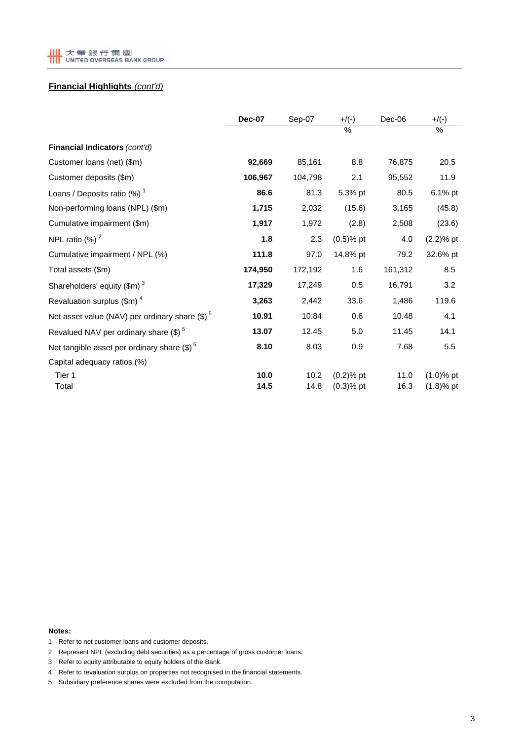

# **Financial Highlights** *(cont'd)*

|                                                        | <b>Dec-07</b> | Sep-07       | $+$ /(-)                     | Dec-06       | $+$ /(-)                     |
|--------------------------------------------------------|---------------|--------------|------------------------------|--------------|------------------------------|
|                                                        |               |              | $\frac{0}{0}$                |              | %                            |
| Financial Indicators (cont'd)                          |               |              |                              |              |                              |
| Customer loans (net) (\$m)                             | 92,669        | 85,161       | 8.8                          | 76,875       | 20.5                         |
| Customer deposits (\$m)                                | 106,967       | 104,798      | 2.1                          | 95,552       | 11.9                         |
| Loans / Deposits ratio $(\%)$ <sup>1</sup>             | 86.6          | 81.3         | 5.3% pt                      | 80.5         | 6.1% pt                      |
| Non-performing loans (NPL) (\$m)                       | 1,715         | 2,032        | (15.6)                       | 3,165        | (45.8)                       |
| Cumulative impairment (\$m)                            | 1,917         | 1,972        | (2.8)                        | 2,508        | (23.6)                       |
| NPL ratio $(%)2$                                       | 1.8           | 2.3          | $(0.5)$ % pt                 | 4.0          | $(2.2)$ % pt                 |
| Cumulative impairment / NPL (%)                        | 111.8         | 97.0         | 14.8% pt                     | 79.2         | 32.6% pt                     |
| Total assets (\$m)                                     | 174,950       | 172,192      | 1.6                          | 161,312      | 8.5                          |
| Shareholders' equity $(\text{Im})^3$                   | 17,329        | 17,249       | 0.5                          | 16,791       | 3.2                          |
| Revaluation surplus (\$m) <sup>4</sup>                 | 3,263         | 2,442        | 33.6                         | 1,486        | 119.6                        |
| Net asset value (NAV) per ordinary share $(\$)^5$      | 10.91         | 10.84        | 0.6                          | 10.48        | 4.1                          |
| Revalued NAV per ordinary share $(\$)^5$               | 13.07         | 12.45        | 5.0                          | 11.45        | 14.1                         |
| Net tangible asset per ordinary share $(\text{$\$})^5$ | 8.10          | 8.03         | 0.9                          | 7.68         | 5.5                          |
| Capital adequacy ratios (%)                            |               |              |                              |              |                              |
| Tier 1<br>Total                                        | 10.0<br>14.5  | 10.2<br>14.8 | $(0.2)$ % pt<br>$(0.3)$ % pt | 11.0<br>16.3 | $(1.0)$ % pt<br>$(1.8)$ % pt |

#### **Notes:**

- 1 Refer to net customer loans and customer deposits.
- 2 Represent NPL (excluding debt securities) as a percentage of gross customer loans.
- 3 Refer to equity attributable to equity holders of the Bank.
- 4 Refer to revaluation surplus on properties not recognised in the financial statements.
- 5 Subsidiary preference shares were excluded from the computation.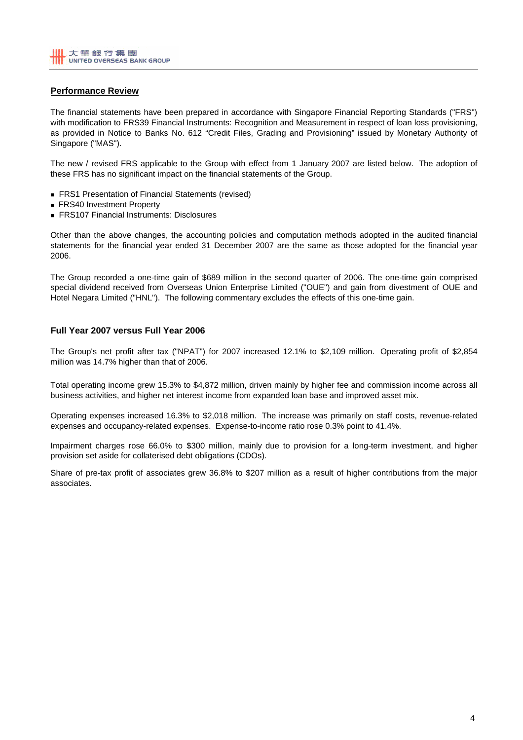# **Performance Review**

The financial statements have been prepared in accordance with Singapore Financial Reporting Standards ("FRS") with modification to FRS39 Financial Instruments: Recognition and Measurement in respect of loan loss provisioning, as provided in Notice to Banks No. 612 "Credit Files, Grading and Provisioning" issued by Monetary Authority of Singapore ("MAS").

The new / revised FRS applicable to the Group with effect from 1 January 2007 are listed below. The adoption of these FRS has no significant impact on the financial statements of the Group.

- **FRS1 Presentation of Financial Statements (revised)**
- **FRS40 Investment Property**
- FRS107 Financial Instruments: Disclosures

Other than the above changes, the accounting policies and computation methods adopted in the audited financial statements for the financial year ended 31 December 2007 are the same as those adopted for the financial year 2006.

The Group recorded a one-time gain of \$689 million in the second quarter of 2006. The one-time gain comprised special dividend received from Overseas Union Enterprise Limited ("OUE") and gain from divestment of OUE and Hotel Negara Limited ("HNL"). The following commentary excludes the effects of this one-time gain.

### **Full Year 2007 versus Full Year 2006**

The Group's net profit after tax ("NPAT") for 2007 increased 12.1% to \$2,109 million. Operating profit of \$2,854 million was 14.7% higher than that of 2006.

Total operating income grew 15.3% to \$4,872 million, driven mainly by higher fee and commission income across all business activities, and higher net interest income from expanded loan base and improved asset mix.

Operating expenses increased 16.3% to \$2,018 million. The increase was primarily on staff costs, revenue-related expenses and occupancy-related expenses. Expense-to-income ratio rose 0.3% point to 41.4%.

Impairment charges rose 66.0% to \$300 million, mainly due to provision for a long-term investment, and higher provision set aside for collaterised debt obligations (CDOs).

Share of pre-tax profit of associates grew 36.8% to \$207 million as a result of higher contributions from the major associates.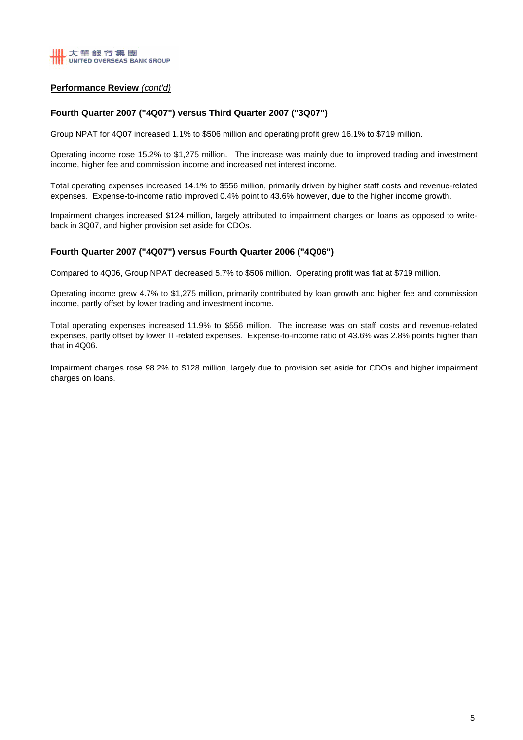# **Performance Review** *(cont'd)*

## **Fourth Quarter 2007 ("4Q07") versus Third Quarter 2007 ("3Q07")**

Group NPAT for 4Q07 increased 1.1% to \$506 million and operating profit grew 16.1% to \$719 million.

Operating income rose 15.2% to \$1,275 million. The increase was mainly due to improved trading and investment income, higher fee and commission income and increased net interest income.

Total operating expenses increased 14.1% to \$556 million, primarily driven by higher staff costs and revenue-related expenses. Expense-to-income ratio improved 0.4% point to 43.6% however, due to the higher income growth.

Impairment charges increased \$124 million, largely attributed to impairment charges on loans as opposed to writeback in 3Q07, and higher provision set aside for CDOs.

# **Fourth Quarter 2007 ("4Q07") versus Fourth Quarter 2006 ("4Q06")**

Compared to 4Q06, Group NPAT decreased 5.7% to \$506 million. Operating profit was flat at \$719 million.

Operating income grew 4.7% to \$1,275 million, primarily contributed by loan growth and higher fee and commission income, partly offset by lower trading and investment income.

Total operating expenses increased 11.9% to \$556 million. The increase was on staff costs and revenue-related expenses, partly offset by lower IT-related expenses. Expense-to-income ratio of 43.6% was 2.8% points higher than that in 4Q06.

Impairment charges rose 98.2% to \$128 million, largely due to provision set aside for CDOs and higher impairment charges on loans.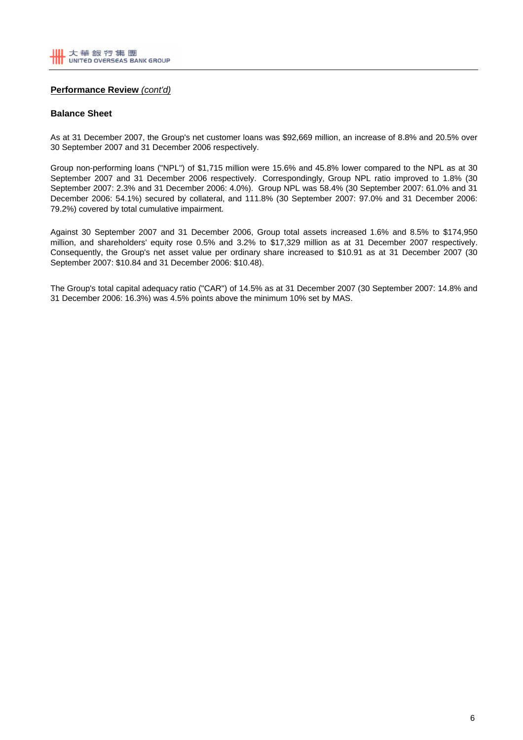## **Performance Review** *(cont'd)*

### **Balance Sheet**

As at 31 December 2007, the Group's net customer loans was \$92,669 million, an increase of 8.8% and 20.5% over 30 September 2007 and 31 December 2006 respectively.

Group non-performing loans ("NPL") of \$1,715 million were 15.6% and 45.8% lower compared to the NPL as at 30 September 2007 and 31 December 2006 respectively. Correspondingly, Group NPL ratio improved to 1.8% (30 September 2007: 2.3% and 31 December 2006: 4.0%). Group NPL was 58.4% (30 September 2007: 61.0% and 31 December 2006: 54.1%) secured by collateral, and 111.8% (30 September 2007: 97.0% and 31 December 2006: 79.2%) covered by total cumulative impairment.

Against 30 September 2007 and 31 December 2006, Group total assets increased 1.6% and 8.5% to \$174,950 million, and shareholders' equity rose 0.5% and 3.2% to \$17,329 million as at 31 December 2007 respectively. Consequently, the Group's net asset value per ordinary share increased to \$10.91 as at 31 December 2007 (30 September 2007: \$10.84 and 31 December 2006: \$10.48).

The Group's total capital adequacy ratio ("CAR") of 14.5% as at 31 December 2007 (30 September 2007: 14.8% and 31 December 2006: 16.3%) was 4.5% points above the minimum 10% set by MAS.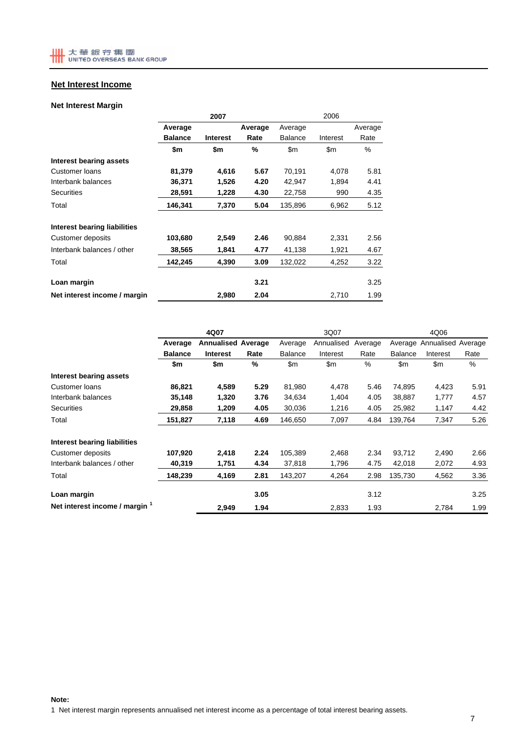# **Net Interest Income**

# **Net Interest Margin**

|                              |                | 2007            |         | 2006           |                |         |  |
|------------------------------|----------------|-----------------|---------|----------------|----------------|---------|--|
|                              | Average        |                 | Average | Average        |                | Average |  |
|                              | <b>Balance</b> | <b>Interest</b> | Rate    | <b>Balance</b> | Interest       | Rate    |  |
|                              | \$m            | \$m             | %       | \$m            | $\mathsf{S}$ m | %       |  |
| Interest bearing assets      |                |                 |         |                |                |         |  |
| Customer loans               | 81,379         | 4,616           | 5.67    | 70,191         | 4,078          | 5.81    |  |
| Interbank balances           | 36,371         | 1,526           | 4.20    | 42.947         | 1,894          | 4.41    |  |
| <b>Securities</b>            | 28,591         | 1,228           | 4.30    | 22,758         | 990            | 4.35    |  |
| Total                        | 146,341        | 7,370           | 5.04    | 135,896        | 6,962          | 5.12    |  |
| Interest bearing liabilities |                |                 |         |                |                |         |  |
| Customer deposits            | 103,680        | 2,549           | 2.46    | 90,884         | 2,331          | 2.56    |  |
| Interbank balances / other   | 38,565         | 1,841           | 4.77    | 41,138         | 1,921          | 4.67    |  |
| Total                        | 142,245        | 4,390           | 3.09    | 132,022        | 4,252          | 3.22    |  |
| Loan margin                  |                |                 | 3.21    |                |                | 3.25    |  |
| Net interest income / margin |                | 2,980           | 2.04    |                | 2,710          | 1.99    |  |

|                                | 4Q07           |                           |      |                | 3Q07           |         | 4Q06           |                            |      |
|--------------------------------|----------------|---------------------------|------|----------------|----------------|---------|----------------|----------------------------|------|
|                                | Average        | <b>Annualised Average</b> |      | Average        | Annualised     | Average |                | Average Annualised Average |      |
|                                | <b>Balance</b> | <b>Interest</b>           | Rate | <b>Balance</b> | Interest       | Rate    | <b>Balance</b> | Interest                   | Rate |
|                                | \$m            | \$m                       | %    | $\mathsf{Sm}$  | $\mathsf{S}$ m | %       | \$m            | \$m                        | %    |
| Interest bearing assets        |                |                           |      |                |                |         |                |                            |      |
| Customer loans                 | 86,821         | 4,589                     | 5.29 | 81,980         | 4,478          | 5.46    | 74,895         | 4,423                      | 5.91 |
| Interbank balances             | 35,148         | 1,320                     | 3.76 | 34,634         | 1,404          | 4.05    | 38,887         | 1,777                      | 4.57 |
| <b>Securities</b>              | 29,858         | 1,209                     | 4.05 | 30,036         | 1,216          | 4.05    | 25,982         | 1,147                      | 4.42 |
| Total                          | 151,827        | 7,118                     | 4.69 | 146,650        | 7,097          | 4.84    | 139,764        | 7,347                      | 5.26 |
| Interest bearing liabilities   |                |                           |      |                |                |         |                |                            |      |
| Customer deposits              | 107,920        | 2,418                     | 2.24 | 105,389        | 2,468          | 2.34    | 93,712         | 2,490                      | 2.66 |
| Interbank balances / other     | 40,319         | 1,751                     | 4.34 | 37,818         | 1,796          | 4.75    | 42,018         | 2,072                      | 4.93 |
| Total                          | 148,239        | 4,169                     | 2.81 | 143,207        | 4,264          | 2.98    | 135,730        | 4,562                      | 3.36 |
| Loan margin                    |                |                           | 3.05 |                |                | 3.12    |                |                            | 3.25 |
| Net interest income / margin 1 |                | 2,949                     | 1.94 |                | 2,833          | 1.93    |                | 2,784                      | 1.99 |

1 Net interest margin represents annualised net interest income as a percentage of total interest bearing assets.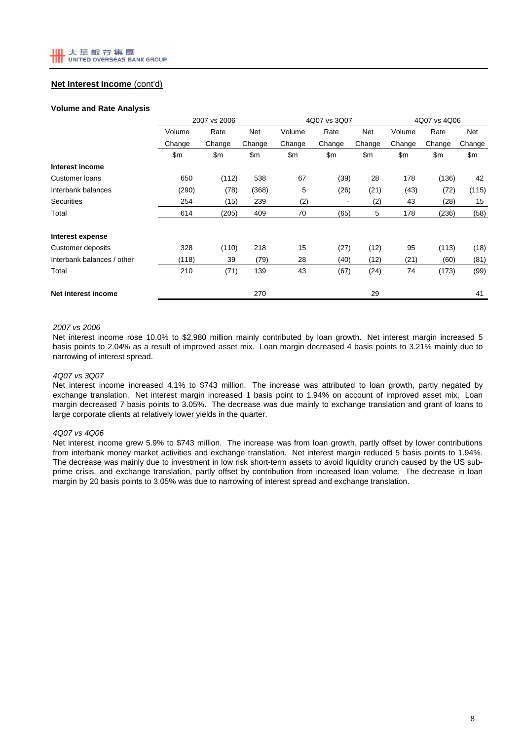# **Net Interest Income** (cont'd)

#### **Volume and Rate Analysis**

|                            |        | 2007 vs 2006  |        |        | 4Q07 vs 3Q07             |        | 4Q07 vs 4Q06 |        |            |
|----------------------------|--------|---------------|--------|--------|--------------------------|--------|--------------|--------|------------|
|                            | Volume | Rate          | Net    | Volume | Rate                     | Net    | Volume       | Rate   | <b>Net</b> |
|                            | Change | Change        | Change | Change | Change                   | Change | Change       | Change | Change     |
|                            | \$m    | $\mathsf{Sm}$ | \$m    | \$m    | \$m\$                    | \$m    | \$m          | \$m    | \$m\$      |
| Interest income            |        |               |        |        |                          |        |              |        |            |
| <b>Customer loans</b>      | 650    | (112)         | 538    | 67     | (39)                     | 28     | 178          | (136)  | 42         |
| Interbank balances         | (290)  | (78)          | (368)  | 5      | (26)                     | (21)   | (43)         | (72)   | (115)      |
| <b>Securities</b>          | 254    | (15)          | 239    | (2)    | $\overline{\phantom{a}}$ | (2)    | 43           | (28)   | 15         |
| Total                      | 614    | (205)         | 409    | 70     | (65)                     | 5      | 178          | (236)  | (58)       |
| Interest expense           |        |               |        |        |                          |        |              |        |            |
| Customer deposits          | 328    | (110)         | 218    | 15     | (27)                     | (12)   | 95           | (113)  | (18)       |
| Interbank balances / other | (118)  | 39            | (79)   | 28     | (40)                     | (12)   | (21)         | (60)   | (81)       |
| Total                      | 210    | (71)          | 139    | 43     | (67)                     | (24)   | 74           | (173)  | (99)       |
| Net interest income        |        |               | 270    |        |                          | 29     |              |        | 41         |

### *2007 vs 2006*

Net interest income rose 10.0% to \$2,980 million mainly contributed by loan growth. Net interest margin increased 5 basis points to 2.04% as a result of improved asset mix. Loan margin decreased 4 basis points to 3.21% mainly due to narrowing of interest spread.

#### *4Q07 vs 3Q07*

Net interest income increased 4.1% to \$743 million. The increase was attributed to loan growth, partly negated by exchange translation. Net interest margin increased 1 basis point to 1.94% on account of improved asset mix. Loan margin decreased 7 basis points to 3.05%. The decrease was due mainly to exchange translation and grant of loans to large corporate clients at relatively lower yields in the quarter.

#### *4Q07 vs 4Q06*

Net interest income grew 5.9% to \$743 million. The increase was from loan growth, partly offset by lower contributions from interbank money market activities and exchange translation. Net interest margin reduced 5 basis points to 1.94%. The decrease was mainly due to investment in low risk short-term assets to avoid liquidity crunch caused by the US subprime crisis, and exchange translation, partly offset by contribution from increased loan volume. The decrease in loan margin by 20 basis points to 3.05% was due to narrowing of interest spread and exchange translation.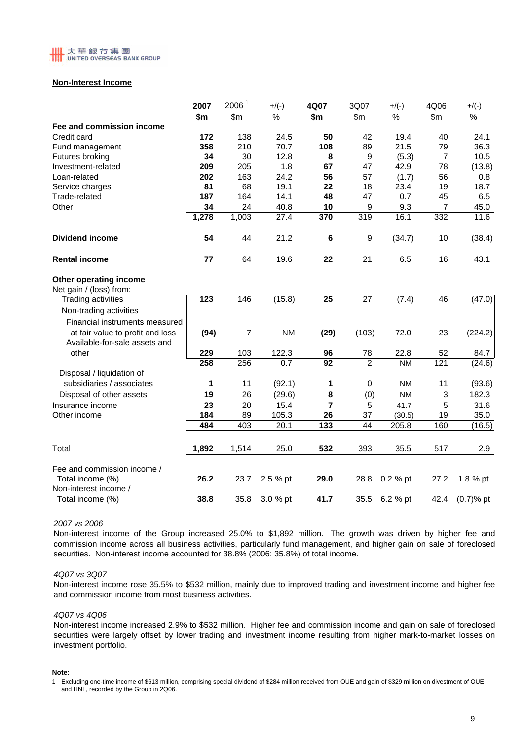

### **Non-Interest Income**

|                                                   | 2007  | 2006 <sup>1</sup> | $+/(-)$   | 4Q07             | 3Q07            | $+/(-)$        | 4Q06           | $+$ /(-)     |
|---------------------------------------------------|-------|-------------------|-----------|------------------|-----------------|----------------|----------------|--------------|
|                                                   | \$m   | \$m\$             | $\%$      | \$m              | \$m\$           | $\%$           | \$m\$          | $\%$         |
| Fee and commission income                         |       |                   |           |                  |                 |                |                |              |
| Credit card                                       | 172   | 138               | 24.5      | 50               | 42              | 19.4           | 40             | 24.1         |
| Fund management                                   | 358   | 210               | 70.7      | 108              | 89              | 21.5           | 79             | 36.3         |
| Futures broking                                   | 34    | 30                | 12.8      | 8                | 9               | (5.3)          | $\overline{7}$ | 10.5         |
| Investment-related                                | 209   | 205               | 1.8       | 67               | 47              | 42.9           | 78             | (13.8)       |
| Loan-related                                      | 202   | 163               | 24.2      | 56               | 57              | (1.7)          | 56             | 0.8          |
| Service charges                                   | 81    | 68                | 19.1      | 22               | 18              | 23.4           | 19             | 18.7         |
| Trade-related                                     | 187   | 164               | 14.1      | 48               | 47              | 0.7            | 45             | 6.5          |
| Other                                             | 34    | 24                | 40.8      | 10               | 9               | 9.3            | 7              | 45.0         |
|                                                   | 1,278 | 1,003             | 27.4      | 370              | 319             | 16.1           | 332            | 11.6         |
| <b>Dividend income</b>                            | 54    | 44                | 21.2      | 6                | 9               | (34.7)         | 10             | (38.4)       |
| <b>Rental income</b>                              | 77    | 64                | 19.6      | 22               | 21              | 6.5            | 16             | 43.1         |
| Other operating income<br>Net gain / (loss) from: |       |                   |           |                  |                 |                |                |              |
| <b>Trading activities</b>                         | 123   | 146               | (15.8)    | $\overline{25}$  | $\overline{27}$ | (7.4)          | 46             | (47.0)       |
| Non-trading activities                            |       |                   |           |                  |                 |                |                |              |
| Financial instruments measured                    |       |                   |           |                  |                 |                |                |              |
| at fair value to profit and loss                  | (94)  | $\overline{7}$    | <b>NM</b> | (29)             | (103)           | 72.0           | 23             | (224.2)      |
| Available-for-sale assets and                     |       |                   |           |                  |                 |                |                |              |
| other                                             | 229   | 103               | 122.3     | 96               | 78              | 22.8           | 52             | 84.7         |
|                                                   | 258   | 256               | 0.7       | 92               | $\overline{2}$  | N <sub>M</sub> | 121            | (24.6)       |
| Disposal / liquidation of                         |       |                   |           |                  |                 |                |                |              |
| subsidiaries / associates                         | 1     | 11                | (92.1)    | 1                | $\mathbf 0$     | <b>NM</b>      | 11             | (93.6)       |
| Disposal of other assets                          | 19    | 26                | (29.6)    | 8                | (0)             | <b>NM</b>      | 3              | 182.3        |
| Insurance income                                  | 23    | 20                | 15.4      | 7                | 5               | 41.7           | 5              | 31.6         |
| Other income                                      | 184   | 89                | 105.3     | 26               | 37              | (30.5)         | 19             | 35.0         |
|                                                   | 484   | 403               | 20.1      | $\overline{133}$ | 44              | 205.8          | 160            | (16.5)       |
| Total                                             | 1,892 | 1,514             | 25.0      | 532              | 393             | 35.5           | 517            | 2.9          |
| Fee and commission income /                       |       |                   |           |                  |                 |                |                |              |
| Total income (%)<br>Non-interest income /         | 26.2  | 23.7              | 2.5 % pt  | 29.0             | 28.8            | 0.2 % pt       | 27.2           | 1.8 % pt     |
| Total income (%)                                  | 38.8  | 35.8              | 3.0 % pt  | 41.7             | 35.5            | 6.2 % pt       | 42.4           | $(0.7)$ % pt |

### *2007 vs 2006*

Non-interest income of the Group increased 25.0% to \$1,892 million. The growth was driven by higher fee and commission income across all business activities, particularly fund management, and higher gain on sale of foreclosed securities. Non-interest income accounted for 38.8% (2006: 35.8%) of total income.

#### *4Q07 vs 3Q07*

Non-interest income rose 35.5% to \$532 million, mainly due to improved trading and investment income and higher fee and commission income from most business activities.

#### *4Q07 vs 4Q06*

Non-interest income increased 2.9% to \$532 million. Higher fee and commission income and gain on sale of foreclosed securities were largely offset by lower trading and investment income resulting from higher mark-to-market losses on investment portfolio.

#### **Note:**

<sup>1</sup> Excluding one-time income of \$613 million, comprising special dividend of \$284 million received from OUE and gain of \$329 million on divestment of OUE and HNL, recorded by the Group in 2Q06.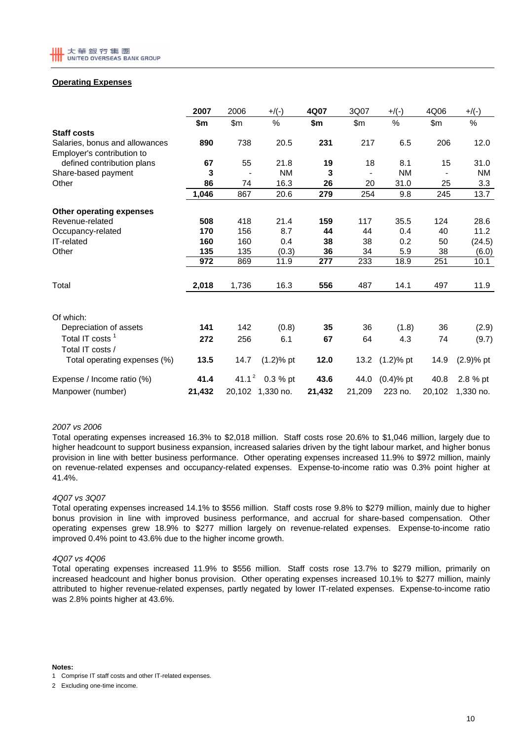

### **Operating Expenses**

|                                | 2007   | 2006     | $+$ /(-)         | 4Q07   | 3Q07   | $+$ /(-)       | 4Q06           | $+$ /(-)     |
|--------------------------------|--------|----------|------------------|--------|--------|----------------|----------------|--------------|
|                                | \$m    | \$m      | %                | \$m    | \$m\$  | %              | $\mathsf{S}$ m | %            |
| <b>Staff costs</b>             |        |          |                  |        |        |                |                |              |
| Salaries, bonus and allowances | 890    | 738      | 20.5             | 231    | 217    | 6.5            | 206            | 12.0         |
| Employer's contribution to     |        |          |                  |        |        |                |                |              |
| defined contribution plans     | 67     | 55       | 21.8             | 19     | 18     | 8.1            | 15             | 31.0         |
| Share-based payment            | 3      |          | <b>NM</b>        | 3      |        | <b>NM</b>      |                | <b>NM</b>    |
| Other                          | 86     | 74       | 16.3             | 26     | 20     | 31.0           | 25             | 3.3          |
|                                | 1,046  | 867      | 20.6             | 279    | 254    | 9.8            | 245            | 13.7         |
| Other operating expenses       |        |          |                  |        |        |                |                |              |
| Revenue-related                | 508    | 418      | 21.4             | 159    | 117    | 35.5           | 124            | 28.6         |
| Occupancy-related              | 170    | 156      | 8.7              | 44     | 44     | 0.4            | 40             | 11.2         |
| IT-related                     | 160    | 160      | 0.4              | 38     | 38     | 0.2            | 50             | (24.5)       |
| Other                          | 135    | 135      | (0.3)            | 36     | 34     | 5.9            | 38             | (6.0)        |
|                                | 972    | 869      | 11.9             | 277    | 233    | 18.9           | 251            | 10.1         |
|                                |        |          |                  |        |        |                |                |              |
| Total                          | 2,018  | 1,736    | 16.3             | 556    | 487    | 14.1           | 497            | 11.9         |
|                                |        |          |                  |        |        |                |                |              |
| Of which:                      |        |          |                  |        |        |                |                |              |
| Depreciation of assets         | 141    | 142      | (0.8)            | 35     | 36     | (1.8)          | 36             | (2.9)        |
| Total IT costs <sup>1</sup>    | 272    | 256      | 6.1              | 67     | 64     | 4.3            | 74             | (9.7)        |
| Total IT costs /               |        |          |                  |        |        |                |                |              |
| Total operating expenses (%)   | 13.5   | 14.7     | $(1.2)$ % pt     | 12.0   |        | 13.2 (1.2)% pt | 14.9           | $(2.9)$ % pt |
| Expense / Income ratio (%)     | 41.4   | $41.1^2$ | $0.3 %$ pt       | 43.6   | 44.0   | $(0.4)$ % pt   | 40.8           | 2.8 % pt     |
| Manpower (number)              | 21,432 |          | 20,102 1,330 no. | 21,432 | 21,209 | 223 no.        | 20,102         | 1,330 no.    |

#### *2007 vs 2006*

Total operating expenses increased 16.3% to \$2,018 million. Staff costs rose 20.6% to \$1,046 million, largely due to higher headcount to support business expansion, increased salaries driven by the tight labour market, and higher bonus provision in line with better business performance. Other operating expenses increased 11.9% to \$972 million, mainly on revenue-related expenses and occupancy-related expenses. Expense-to-income ratio was 0.3% point higher at 41.4%.

#### *4Q07 vs 3Q07*

Total operating expenses increased 14.1% to \$556 million. Staff costs rose 9.8% to \$279 million, mainly due to higher bonus provision in line with improved business performance, and accrual for share-based compensation. Other operating expenses grew 18.9% to \$277 million largely on revenue-related expenses. Expense-to-income ratio improved 0.4% point to 43.6% due to the higher income growth.

### *4Q07 vs 4Q06*

Total operating expenses increased 11.9% to \$556 million. Staff costs rose 13.7% to \$279 million, primarily on increased headcount and higher bonus provision. Other operating expenses increased 10.1% to \$277 million, mainly attributed to higher revenue-related expenses, partly negated by lower IT-related expenses. Expense-to-income ratio was 2.8% points higher at 43.6%.

**Notes:**

<sup>1</sup> Comprise IT staff costs and other IT-related expenses.

<sup>2</sup> Excluding one-time income.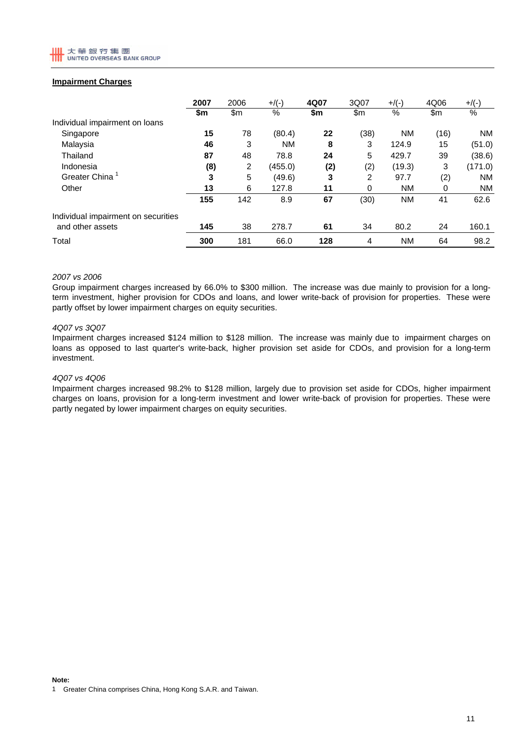

### **Impairment Charges**

|                                     | 2007 | 2006  | $+$ /(-)  | 4Q07 | 3Q07 | $+$ /(-)  | 4Q06 | $+$ /(-)  |
|-------------------------------------|------|-------|-----------|------|------|-----------|------|-----------|
|                                     | \$m  | \$m\$ | %         | \$m  | \$m  | $\%$      | \$m  | $\%$      |
| Individual impairment on loans      |      |       |           |      |      |           |      |           |
| Singapore                           | 15   | 78    | (80.4)    | 22   | (38) | <b>NM</b> | (16) | NM.       |
| Malaysia                            | 46   | 3     | <b>NM</b> | 8    | 3    | 124.9     | 15   | (51.0)    |
| Thailand                            | 87   | 48    | 78.8      | 24   | 5    | 429.7     | 39   | (38.6)    |
| Indonesia                           | (8)  | 2     | (455.0)   | (2)  | (2)  | (19.3)    | 3    | (171.0)   |
| Greater China                       | 3    | 5     | (49.6)    | 3    | 2    | 97.7      | (2)  | NM.       |
| Other                               | 13   | 6     | 127.8     | 11   | 0    | <b>NM</b> | 0    | <b>NM</b> |
|                                     | 155  | 142   | 8.9       | 67   | (30) | <b>NM</b> | 41   | 62.6      |
| Individual impairment on securities |      |       |           |      |      |           |      |           |
| and other assets                    | 145  | 38    | 278.7     | 61   | 34   | 80.2      | 24   | 160.1     |
| Total                               | 300  | 181   | 66.0      | 128  | 4    | <b>NM</b> | 64   | 98.2      |

### *2007 vs 2006*

Group impairment charges increased by 66.0% to \$300 million. The increase was due mainly to provision for a longterm investment, higher provision for CDOs and loans, and lower write-back of provision for properties. These were partly offset by lower impairment charges on equity securities.

#### *4Q07 vs 3Q07*

Impairment charges increased \$124 million to \$128 million. The increase was mainly due to impairment charges on loans as opposed to last quarter's write-back, higher provision set aside for CDOs, and provision for a long-term investment.

#### *4Q07 vs 4Q06*

Impairment charges increased 98.2% to \$128 million, largely due to provision set aside for CDOs, higher impairment charges on loans, provision for a long-term investment and lower write-back of provision for properties. These were partly negated by lower impairment charges on equity securities.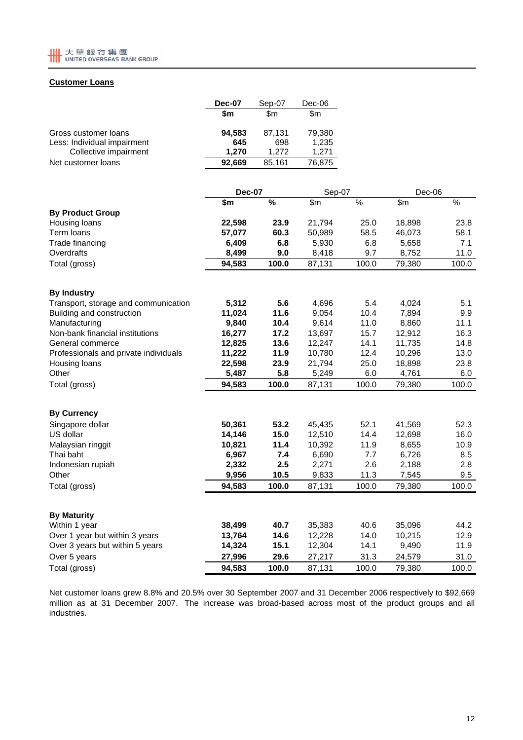

# **Customer Loans**

|                             | <b>Dec-07</b> | Sep-07 | Dec-06 |
|-----------------------------|---------------|--------|--------|
|                             | \$m           | \$m    | \$m    |
| Gross customer loans        | 94,583        | 87,131 | 79,380 |
| Less: Individual impairment | 645           | 698    | 1,235  |
| Collective impairment       | 1.270         | 1.272  | 1.271  |
| Net customer loans          | 92,669        | 85,161 | 76,875 |

|                                       | <b>Dec-07</b> |       | Sep-07         |       | Dec-06 |       |
|---------------------------------------|---------------|-------|----------------|-------|--------|-------|
|                                       | \$m           | %     | $\mathsf{S}$ m | %     | \$m    | %     |
| <b>By Product Group</b>               |               |       |                |       |        |       |
| Housing loans                         | 22,598        | 23.9  | 21,794         | 25.0  | 18,898 | 23.8  |
| Term loans                            | 57,077        | 60.3  | 50,989         | 58.5  | 46,073 | 58.1  |
| Trade financing                       | 6,409         | 6.8   | 5,930          | 6.8   | 5,658  | 7.1   |
| Overdrafts                            | 8,499         | 9.0   | 8,418          | 9.7   | 8,752  | 11.0  |
| Total (gross)                         | 94,583        | 100.0 | 87,131         | 100.0 | 79,380 | 100.0 |
|                                       |               |       |                |       |        |       |
| <b>By Industry</b>                    |               |       |                |       |        |       |
| Transport, storage and communication  | 5,312         | 5.6   | 4,696          | 5.4   | 4,024  | 5.1   |
| Building and construction             | 11,024        | 11.6  | 9,054          | 10.4  | 7,894  | 9.9   |
| Manufacturing                         | 9,840         | 10.4  | 9,614          | 11.0  | 8,860  | 11.1  |
| Non-bank financial institutions       | 16,277        | 17.2  | 13,697         | 15.7  | 12,912 | 16.3  |
| General commerce                      | 12,825        | 13.6  | 12,247         | 14.1  | 11,735 | 14.8  |
| Professionals and private individuals | 11,222        | 11.9  | 10,780         | 12.4  | 10,296 | 13.0  |
| Housing loans                         | 22,598        | 23.9  | 21,794         | 25.0  | 18,898 | 23.8  |
| Other                                 | 5,487         | 5.8   | 5,249          | 6.0   | 4,761  | 6.0   |
| Total (gross)                         | 94,583        | 100.0 | 87,131         | 100.0 | 79,380 | 100.0 |
| <b>By Currency</b>                    |               |       |                |       |        |       |
| Singapore dollar                      | 50,361        | 53.2  | 45,435         | 52.1  | 41,569 | 52.3  |
| US dollar                             | 14,146        | 15.0  | 12,510         | 14.4  | 12,698 | 16.0  |
| Malaysian ringgit                     | 10,821        | 11.4  | 10,392         | 11.9  | 8,655  | 10.9  |
| Thai baht                             | 6,967         | 7.4   | 6,690          | 7.7   | 6,726  | 8.5   |
| Indonesian rupiah                     | 2,332         | 2.5   | 2,271          | 2.6   | 2,188  | 2.8   |
| Other                                 | 9,956         | 10.5  | 9,833          | 11.3  | 7,545  | 9.5   |
| Total (gross)                         | 94,583        | 100.0 | 87,131         | 100.0 | 79,380 | 100.0 |
|                                       |               |       |                |       |        |       |
| <b>By Maturity</b>                    |               |       |                |       |        |       |
| Within 1 year                         | 38,499        | 40.7  | 35,383         | 40.6  | 35,096 | 44.2  |
| Over 1 year but within 3 years        | 13,764        | 14.6  | 12,228         | 14.0  | 10,215 | 12.9  |
| Over 3 years but within 5 years       | 14,324        | 15.1  | 12,304         | 14.1  | 9,490  | 11.9  |
| Over 5 years                          | 27,996        | 29.6  | 27,217         | 31.3  | 24,579 | 31.0  |
| Total (gross)                         | 94,583        | 100.0 | 87,131         | 100.0 | 79,380 | 100.0 |

Net customer loans grew 8.8% and 20.5% over 30 September 2007 and 31 December 2006 respectively to \$92,669 million as at 31 December 2007. The increase was broad-based across most of the product groups and all industries.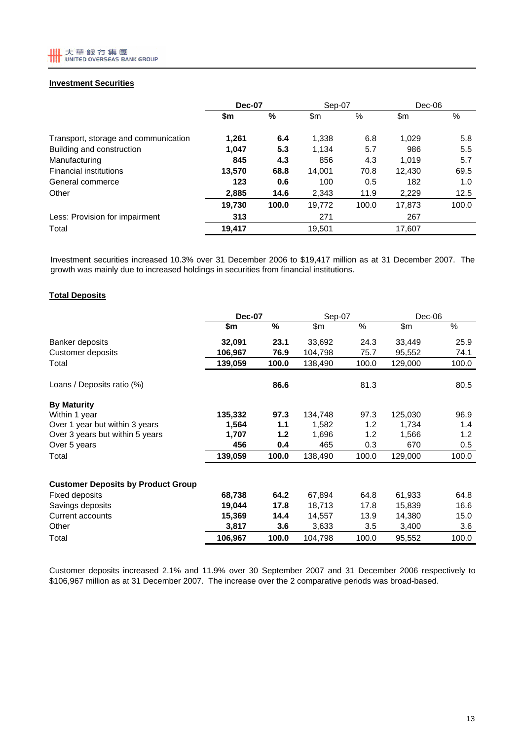

# **Investment Securities**

|                                      | Dec-07 |       | Sep-07 |       | $Dec-06$ |       |
|--------------------------------------|--------|-------|--------|-------|----------|-------|
|                                      | \$m    | %     | \$m\$  | %     | \$m      | %     |
| Transport, storage and communication | 1,261  | 6.4   | 1,338  | 6.8   | 1,029    | 5.8   |
| Building and construction            | 1,047  | 5.3   | 1,134  | 5.7   | 986      | 5.5   |
| Manufacturing                        | 845    | 4.3   | 856    | 4.3   | 1.019    | 5.7   |
| <b>Financial institutions</b>        | 13,570 | 68.8  | 14.001 | 70.8  | 12,430   | 69.5  |
| General commerce                     | 123    | 0.6   | 100    | 0.5   | 182      | 1.0   |
| Other                                | 2,885  | 14.6  | 2,343  | 11.9  | 2,229    | 12.5  |
|                                      | 19,730 | 100.0 | 19,772 | 100.0 | 17,873   | 100.0 |
| Less: Provision for impairment       | 313    |       | 271    |       | 267      |       |
| Total                                | 19,417 |       | 19,501 |       | 17,607   |       |

Investment securities increased 10.3% over 31 December 2006 to \$19,417 million as at 31 December 2007. The growth was mainly due to increased holdings in securities from financial institutions.

### **Total Deposits**

|                                           | <b>Dec-07</b> |       | Sep-07  |       | Dec-06  |       |
|-------------------------------------------|---------------|-------|---------|-------|---------|-------|
|                                           | \$m           | %     | \$m     | %     | \$m     | %     |
| Banker deposits                           | 32,091        | 23.1  | 33,692  | 24.3  | 33,449  | 25.9  |
| Customer deposits                         | 106,967       | 76.9  | 104,798 | 75.7  | 95,552  | 74.1  |
| Total                                     | 139,059       | 100.0 | 138,490 | 100.0 | 129,000 | 100.0 |
| Loans / Deposits ratio (%)                |               | 86.6  |         | 81.3  |         | 80.5  |
| <b>By Maturity</b>                        |               |       |         |       |         |       |
| Within 1 year                             | 135,332       | 97.3  | 134,748 | 97.3  | 125,030 | 96.9  |
| Over 1 year but within 3 years            | 1,564         | 1.1   | 1,582   | 1.2   | 1,734   | 1.4   |
| Over 3 years but within 5 years           | 1,707         | 1.2   | 1,696   | 1.2   | 1,566   | 1.2   |
| Over 5 years                              | 456           | 0.4   | 465     | 0.3   | 670     | 0.5   |
| Total                                     | 139,059       | 100.0 | 138,490 | 100.0 | 129,000 | 100.0 |
| <b>Customer Deposits by Product Group</b> |               |       |         |       |         |       |
| <b>Fixed deposits</b>                     | 68,738        | 64.2  | 67,894  | 64.8  | 61,933  | 64.8  |
| Savings deposits                          | 19,044        | 17.8  | 18,713  | 17.8  | 15,839  | 16.6  |
| Current accounts                          | 15,369        | 14.4  | 14,557  | 13.9  | 14,380  | 15.0  |
| Other                                     | 3,817         | 3.6   | 3,633   | 3.5   | 3,400   | 3.6   |
| Total                                     | 106,967       | 100.0 | 104,798 | 100.0 | 95,552  | 100.0 |

Customer deposits increased 2.1% and 11.9% over 30 September 2007 and 31 December 2006 respectively to \$106,967 million as at 31 December 2007. The increase over the 2 comparative periods was broad-based.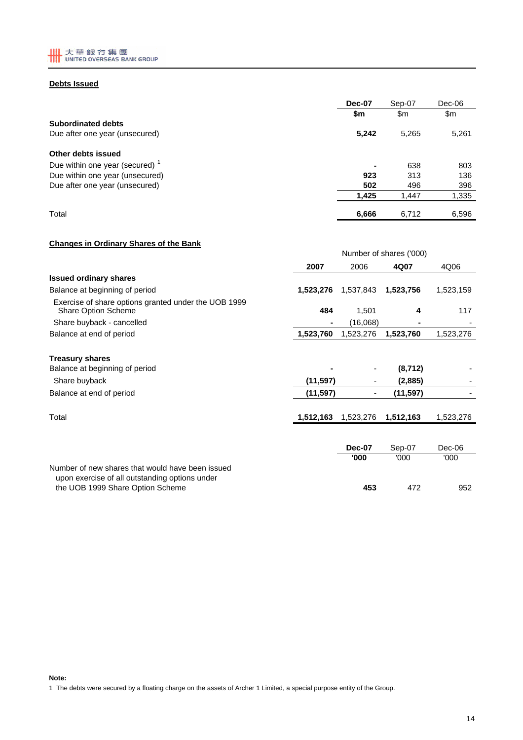

### **Debts Issued**

|                                   | Dec-07 | Sep-07 | Dec-06 |  |
|-----------------------------------|--------|--------|--------|--|
|                                   | \$m    | \$m    | \$m    |  |
| <b>Subordinated debts</b>         |        |        |        |  |
| Due after one year (unsecured)    | 5,242  | 5,265  | 5,261  |  |
| Other debts issued                |        |        |        |  |
| Due within one year (secured) $1$ | -      | 638    | 803    |  |
| Due within one year (unsecured)   | 923    | 313    | 136    |  |
| Due after one year (unsecured)    | 502    | 496    | 396    |  |
|                                   | 1,425  | 1,447  | 1,335  |  |
| Total                             | 6,666  | 6,712  | 6,596  |  |

# **Changes in Ordinary Shares of the Bank**

| Unanges in Uruniary Unares Urthe Bank                                                              |           |                         |           |           |  |
|----------------------------------------------------------------------------------------------------|-----------|-------------------------|-----------|-----------|--|
|                                                                                                    |           | Number of shares ('000) |           |           |  |
|                                                                                                    | 2007      | 2006                    | 4Q07      | 4Q06      |  |
| <b>Issued ordinary shares</b>                                                                      |           |                         |           |           |  |
| Balance at beginning of period                                                                     | 1,523,276 | 1,537,843               | 1,523,756 | 1,523,159 |  |
| Exercise of share options granted under the UOB 1999<br><b>Share Option Scheme</b>                 | 484       | 1,501                   | 4         | 117       |  |
| Share buyback - cancelled                                                                          |           | (16,068)                |           |           |  |
| Balance at end of period                                                                           | 1,523,760 | 1,523,276               | 1,523,760 | 1,523,276 |  |
| <b>Treasury shares</b>                                                                             |           |                         |           |           |  |
| Balance at beginning of period                                                                     |           |                         | (8, 712)  |           |  |
| Share buyback                                                                                      | (11, 597) |                         | (2,885)   |           |  |
| Balance at end of period                                                                           | (11,597)  |                         | (11,597)  |           |  |
| Total                                                                                              | 1,512,163 | 1,523,276               | 1,512,163 | 1,523,276 |  |
|                                                                                                    |           |                         |           |           |  |
|                                                                                                    |           | <b>Dec-07</b>           | Sep-07    | Dec-06    |  |
|                                                                                                    |           | '000                    | '000'     | '000      |  |
| Number of new shares that would have been issued<br>upon exercise of all outstanding options under |           |                         |           |           |  |
| the UOB 1999 Share Option Scheme                                                                   |           | 453                     | 472       | 952       |  |

**Note:** 1 The debts were secured by a floating charge on the assets of Archer 1 Limited, a special purpose entity of the Group.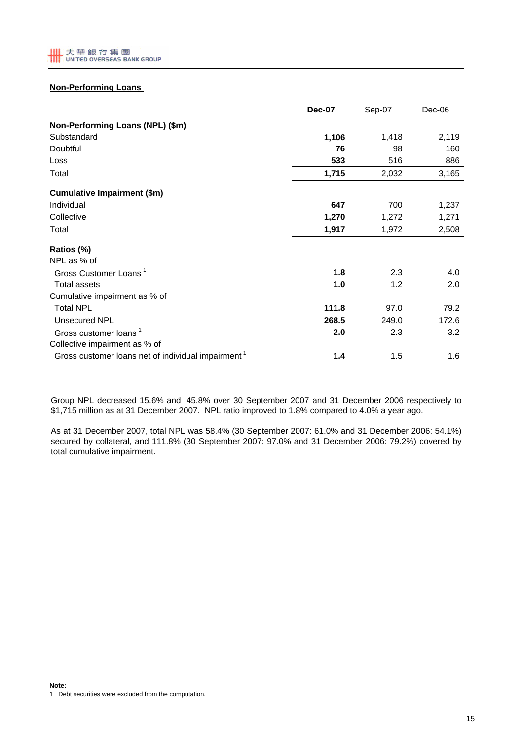# **Non-Performing Loans**

|                                                                | <b>Dec-07</b> | Sep-07 | Dec-06 |
|----------------------------------------------------------------|---------------|--------|--------|
| Non-Performing Loans (NPL) (\$m)                               |               |        |        |
| Substandard                                                    | 1,106         | 1,418  | 2,119  |
| Doubtful                                                       | 76            | 98     | 160    |
| Loss                                                           | 533           | 516    | 886    |
| Total                                                          | 1,715         | 2,032  | 3,165  |
| <b>Cumulative Impairment (\$m)</b>                             |               |        |        |
| Individual                                                     | 647           | 700    | 1,237  |
| Collective                                                     | 1,270         | 1,272  | 1,271  |
| Total                                                          | 1,917         | 1,972  | 2,508  |
| Ratios (%)                                                     |               |        |        |
| NPL as % of                                                    |               |        |        |
| Gross Customer Loans <sup>1</sup>                              | 1.8           | 2.3    | 4.0    |
| <b>Total assets</b>                                            | 1.0           | 1.2    | 2.0    |
| Cumulative impairment as % of                                  |               |        |        |
| <b>Total NPL</b>                                               | 111.8         | 97.0   | 79.2   |
| Unsecured NPL                                                  | 268.5         | 249.0  | 172.6  |
| Gross customer loans <sup>1</sup>                              | 2.0           | 2.3    | 3.2    |
| Collective impairment as % of                                  |               |        |        |
| Gross customer loans net of individual impairment <sup>1</sup> | 1.4           | 1.5    | 1.6    |

Group NPL decreased 15.6% and 45.8% over 30 September 2007 and 31 December 2006 respectively to \$1,715 million as at 31 December 2007. NPL ratio improved to 1.8% compared to 4.0% a year ago.

As at 31 December 2007, total NPL was 58.4% (30 September 2007: 61.0% and 31 December 2006: 54.1%) secured by collateral, and 111.8% (30 September 2007: 97.0% and 31 December 2006: 79.2%) covered by total cumulative impairment.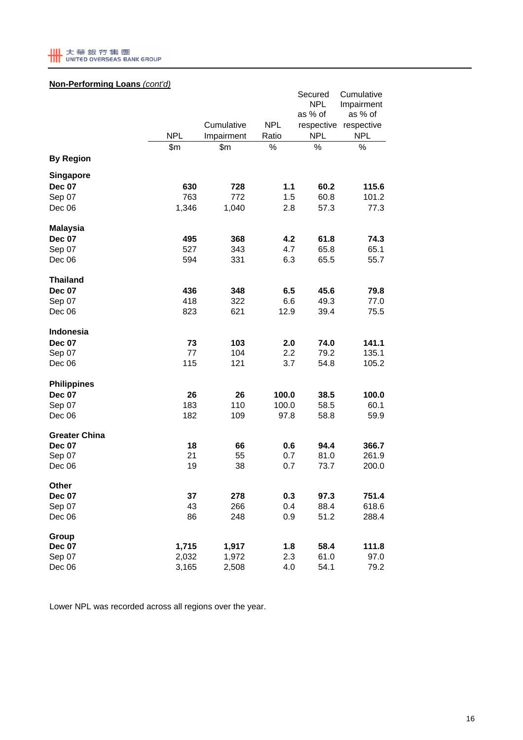

# **Non-Performing Loans** *(cont'd)*

| . <u>.</u><br>-vu. 10<br>1001197<br><b>By Region</b> | <b>NPL</b><br>\$m | Cumulative<br>Impairment<br>\$m | <b>NPL</b><br>Ratio<br>$\%$ | Secured<br><b>NPL</b><br>as % of<br>respective<br><b>NPL</b><br>$\%$ | Cumulative<br>Impairment<br>as % of<br>respective<br><b>NPL</b><br>% |
|------------------------------------------------------|-------------------|---------------------------------|-----------------------------|----------------------------------------------------------------------|----------------------------------------------------------------------|
| <b>Singapore</b>                                     |                   |                                 |                             |                                                                      |                                                                      |
| <b>Dec 07</b>                                        | 630               | 728                             | $1.1$                       | 60.2                                                                 | 115.6                                                                |
| Sep 07                                               | 763               | 772                             | 1.5                         | 60.8                                                                 | 101.2                                                                |
| Dec 06                                               | 1,346             | 1,040                           | 2.8                         | 57.3                                                                 | 77.3                                                                 |
| <b>Malaysia</b>                                      |                   |                                 |                             |                                                                      |                                                                      |
| <b>Dec 07</b>                                        | 495               | 368                             | 4.2                         | 61.8                                                                 | 74.3                                                                 |
| Sep 07                                               | 527               | 343                             | 4.7                         | 65.8                                                                 | 65.1                                                                 |
| Dec 06                                               | 594               | 331                             | 6.3                         | 65.5                                                                 | 55.7                                                                 |
| <b>Thailand</b>                                      |                   |                                 |                             |                                                                      |                                                                      |
| <b>Dec 07</b>                                        | 436               | 348                             | 6.5                         | 45.6                                                                 | 79.8                                                                 |
| Sep 07                                               | 418               | 322                             | 6.6                         | 49.3                                                                 | 77.0                                                                 |
| Dec 06                                               | 823               | 621                             | 12.9                        | 39.4                                                                 | 75.5                                                                 |
| Indonesia                                            |                   |                                 |                             |                                                                      |                                                                      |
| <b>Dec 07</b>                                        | 73                | 103                             | 2.0                         | 74.0                                                                 | 141.1                                                                |
| Sep 07                                               | 77                | 104                             | 2.2                         | 79.2                                                                 | 135.1                                                                |
| Dec 06                                               | 115               | 121                             | 3.7                         | 54.8                                                                 | 105.2                                                                |
| <b>Philippines</b>                                   |                   |                                 |                             |                                                                      |                                                                      |
| <b>Dec 07</b>                                        | 26                | 26                              | 100.0                       | 38.5                                                                 | 100.0                                                                |
| Sep 07                                               | 183               | 110                             | 100.0                       | 58.5                                                                 | 60.1                                                                 |
| Dec 06                                               | 182               | 109                             | 97.8                        | 58.8                                                                 | 59.9                                                                 |
| <b>Greater China</b>                                 |                   |                                 |                             |                                                                      |                                                                      |
| <b>Dec 07</b>                                        | 18                | 66                              | 0.6                         | 94.4                                                                 | 366.7                                                                |
| Sep 07                                               | 21                | 55                              | 0.7                         | 81.0                                                                 | 261.9                                                                |
| Dec 06                                               | 19                | 38                              | 0.7                         | 73.7                                                                 | 200.0                                                                |
| Other                                                |                   |                                 |                             |                                                                      |                                                                      |
| <b>Dec 07</b>                                        | 37                | 278                             | 0.3                         | 97.3                                                                 | 751.4                                                                |
| Sep 07                                               | 43                | 266                             | 0.4                         | 88.4                                                                 | 618.6                                                                |
| Dec 06                                               | 86                | 248                             | 0.9                         | 51.2                                                                 | 288.4                                                                |
| Group                                                |                   |                                 |                             |                                                                      |                                                                      |
| <b>Dec 07</b>                                        | 1,715             | 1,917                           | 1.8                         | 58.4                                                                 | 111.8                                                                |
| Sep 07                                               | 2,032             | 1,972                           | 2.3                         | 61.0                                                                 | 97.0                                                                 |
| Dec 06                                               | 3,165             | 2,508                           | 4.0                         | 54.1                                                                 | 79.2                                                                 |

Lower NPL was recorded across all regions over the year.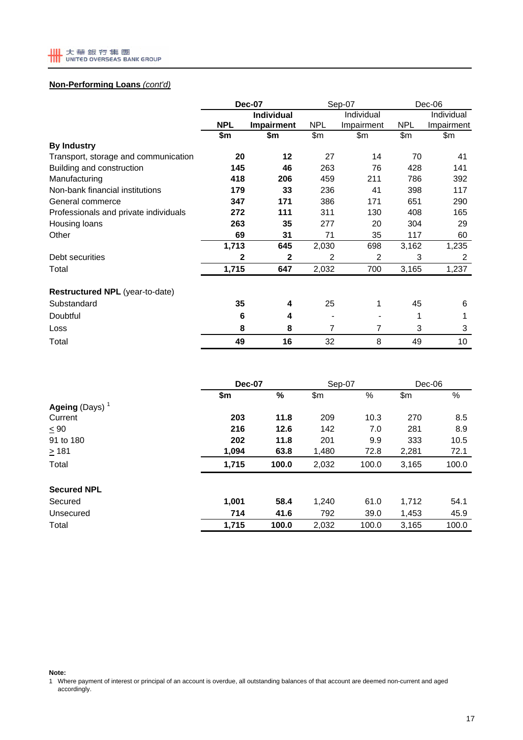

# **Non-Performing Loans** *(cont'd)*

|                                       | <b>Dec-07</b> |                   |            | Sep-07     | $Dec-06$   |            |
|---------------------------------------|---------------|-------------------|------------|------------|------------|------------|
|                                       |               | <b>Individual</b> | Individual |            |            | Individual |
|                                       | <b>NPL</b>    | <b>Impairment</b> | <b>NPL</b> | Impairment | <b>NPL</b> | Impairment |
|                                       | \$m           | \$m               | \$m\$      | \$m\$      | \$m\$      | \$m        |
| <b>By Industry</b>                    |               |                   |            |            |            |            |
| Transport, storage and communication  | 20            | 12                | 27         | 14         | 70         | 41         |
| Building and construction             | 145           | 46                | 263        | 76         | 428        | 141        |
| Manufacturing                         | 418           | 206               | 459        | 211        | 786        | 392        |
| Non-bank financial institutions       | 179           | 33                | 236        | 41         | 398        | 117        |
| General commerce                      | 347           | 171               | 386        | 171        | 651        | 290        |
| Professionals and private individuals | 272           | 111               | 311        | 130        | 408        | 165        |
| Housing loans                         | 263           | 35                | 277        | 20         | 304        | 29         |
| Other                                 | 69            | 31                | 71         | 35         | 117        | 60         |
|                                       | 1,713         | 645               | 2,030      | 698        | 3,162      | 1,235      |
| Debt securities                       | 2             | 2                 | 2          | 2          | 3          | 2          |
| Total                                 | 1,715         | 647               | 2,032      | 700        | 3,165      | 1,237      |
| Restructured NPL (year-to-date)       |               |                   |            |            |            |            |
| Substandard                           | 35            | 4                 | 25         | 1          | 45         | 6          |
| Doubtful                              | 6             | 4                 |            |            | 1          | 1          |
| Loss                                  | 8             | 8                 | 7          | 7          | 3          | 3          |
| Total                                 | 49            | 16                | 32         | 8          | 49         | 10         |

|                                   |       | <b>Dec-07</b> |       | Sep-07 | $Dec-06$ |       |
|-----------------------------------|-------|---------------|-------|--------|----------|-------|
|                                   | \$m   | $\frac{9}{6}$ | \$m   | $\%$   | \$m\$    | %     |
| <b>Ageing</b> (Days) <sup>1</sup> |       |               |       |        |          |       |
| Current                           | 203   | 11.8          | 209   | 10.3   | 270      | 8.5   |
| $\leq 90$                         | 216   | 12.6          | 142   | 7.0    | 281      | 8.9   |
| 91 to 180                         | 202   | 11.8          | 201   | 9.9    | 333      | 10.5  |
| $\geq 181$                        | 1,094 | 63.8          | 1,480 | 72.8   | 2,281    | 72.1  |
| Total                             | 1,715 | 100.0         | 2,032 | 100.0  | 3,165    | 100.0 |
| <b>Secured NPL</b>                |       |               |       |        |          |       |
| Secured                           | 1,001 | 58.4          | 1,240 | 61.0   | 1,712    | 54.1  |
| Unsecured                         | 714   | 41.6          | 792   | 39.0   | 1,453    | 45.9  |
| Total                             | 1,715 | 100.0         | 2,032 | 100.0  | 3.165    | 100.0 |

**Note:**

1 Where payment of interest or principal of an account is overdue, all outstanding balances of that account are deemed non-current and aged accordingly.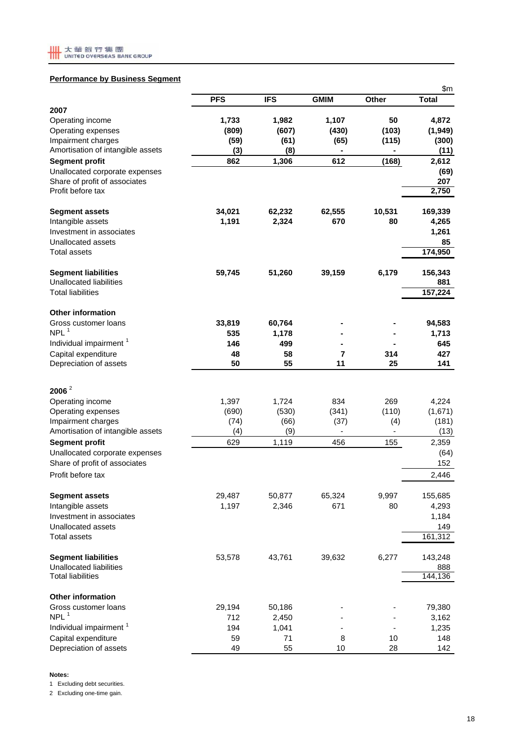

### **Performance by Business Segment**

| <b>PFS</b><br><b>IFS</b><br><b>GMIM</b><br>Other<br>2007<br>1,982<br>1,107<br>50<br>Operating income<br>1,733<br>Operating expenses<br>(809)<br>(607)<br>(430)<br>(103)<br>Impairment charges<br>(59)<br>(61)<br>(65)<br>(115)<br>Amortisation of intangible assets<br>(3)<br>(8)<br>862<br>1,306<br>612<br><b>Segment profit</b><br>(168) | <b>Total</b><br>4,872<br>(1, 949)<br>(300)<br>(11)<br>2,612<br>(69)<br>207<br>2,750<br>169,339<br>4,265 |
|--------------------------------------------------------------------------------------------------------------------------------------------------------------------------------------------------------------------------------------------------------------------------------------------------------------------------------------------|---------------------------------------------------------------------------------------------------------|
|                                                                                                                                                                                                                                                                                                                                            |                                                                                                         |
|                                                                                                                                                                                                                                                                                                                                            |                                                                                                         |
|                                                                                                                                                                                                                                                                                                                                            |                                                                                                         |
|                                                                                                                                                                                                                                                                                                                                            |                                                                                                         |
|                                                                                                                                                                                                                                                                                                                                            |                                                                                                         |
|                                                                                                                                                                                                                                                                                                                                            |                                                                                                         |
| Unallocated corporate expenses                                                                                                                                                                                                                                                                                                             |                                                                                                         |
| Share of profit of associates                                                                                                                                                                                                                                                                                                              |                                                                                                         |
| Profit before tax                                                                                                                                                                                                                                                                                                                          |                                                                                                         |
| 10,531<br>34,021<br>62,232<br>62,555<br><b>Segment assets</b>                                                                                                                                                                                                                                                                              |                                                                                                         |
| 2,324<br>Intangible assets<br>1,191<br>670<br>80                                                                                                                                                                                                                                                                                           |                                                                                                         |
| Investment in associates                                                                                                                                                                                                                                                                                                                   | 1,261                                                                                                   |
| Unallocated assets                                                                                                                                                                                                                                                                                                                         | 85                                                                                                      |
| <b>Total assets</b>                                                                                                                                                                                                                                                                                                                        | 174,950                                                                                                 |
| 39,159<br>6,179<br><b>Segment liabilities</b><br>59,745<br>51,260                                                                                                                                                                                                                                                                          | 156,343                                                                                                 |
| Unallocated liabilities                                                                                                                                                                                                                                                                                                                    | 881                                                                                                     |
| <b>Total liabilities</b>                                                                                                                                                                                                                                                                                                                   | 157,224                                                                                                 |
| <b>Other information</b>                                                                                                                                                                                                                                                                                                                   |                                                                                                         |
| Gross customer loans<br>33,819<br>60,764<br>NPL <sup>1</sup>                                                                                                                                                                                                                                                                               | 94,583                                                                                                  |
| 535<br>1,178<br>Individual impairment <sup>1</sup><br>146<br>499                                                                                                                                                                                                                                                                           | 1,713<br>645                                                                                            |
| Capital expenditure<br>48<br>58<br>7<br>314                                                                                                                                                                                                                                                                                                | 427                                                                                                     |
| Depreciation of assets<br>50<br>55<br>11<br>25                                                                                                                                                                                                                                                                                             | 141                                                                                                     |
|                                                                                                                                                                                                                                                                                                                                            |                                                                                                         |
| $2006^2$                                                                                                                                                                                                                                                                                                                                   |                                                                                                         |
| 1,397<br>834<br>269<br>Operating income<br>1,724                                                                                                                                                                                                                                                                                           | 4,224                                                                                                   |
| Operating expenses<br>(690)<br>(530)<br>(341)<br>(110)                                                                                                                                                                                                                                                                                     | (1,671)                                                                                                 |
| Impairment charges<br>(74)<br>(66)<br>(37)<br>(4)<br>Amortisation of intangible assets<br>(9)<br>(4)                                                                                                                                                                                                                                       | (181)<br>(13)                                                                                           |
| 629<br>1,119<br>456<br>155<br><b>Segment profit</b>                                                                                                                                                                                                                                                                                        | 2,359                                                                                                   |
| Unallocated corporate expenses                                                                                                                                                                                                                                                                                                             | (64)                                                                                                    |
| Share of profit of associates                                                                                                                                                                                                                                                                                                              | 152                                                                                                     |
| Profit before tax                                                                                                                                                                                                                                                                                                                          | 2,446                                                                                                   |
| 9,997<br><b>Segment assets</b><br>29,487<br>50,877<br>65,324                                                                                                                                                                                                                                                                               | 155,685                                                                                                 |
| 1,197<br>2,346<br>671<br>80<br>Intangible assets                                                                                                                                                                                                                                                                                           | 4,293                                                                                                   |
| Investment in associates                                                                                                                                                                                                                                                                                                                   | 1,184                                                                                                   |
| Unallocated assets                                                                                                                                                                                                                                                                                                                         | 149                                                                                                     |
| <b>Total assets</b>                                                                                                                                                                                                                                                                                                                        | 161,312                                                                                                 |
| <b>Segment liabilities</b><br>43,761<br>53,578<br>39,632<br>6,277                                                                                                                                                                                                                                                                          | 143,248                                                                                                 |
| Unallocated liabilities                                                                                                                                                                                                                                                                                                                    | 888                                                                                                     |
| <b>Total liabilities</b>                                                                                                                                                                                                                                                                                                                   | 144,136                                                                                                 |
| <b>Other information</b>                                                                                                                                                                                                                                                                                                                   |                                                                                                         |
| Gross customer loans<br>29,194<br>50,186                                                                                                                                                                                                                                                                                                   | 79,380                                                                                                  |
| NPL <sup>1</sup><br>712<br>2,450                                                                                                                                                                                                                                                                                                           | 3,162                                                                                                   |
| Individual impairment <sup>1</sup><br>194<br>1,041<br>Capital expenditure<br>59<br>71<br>8<br>10                                                                                                                                                                                                                                           | 1,235<br>148                                                                                            |
| Depreciation of assets<br>49<br>55<br>28<br>10                                                                                                                                                                                                                                                                                             | 142                                                                                                     |

**Notes:**

1 Excluding debt securities.

2 Excluding one-time gain.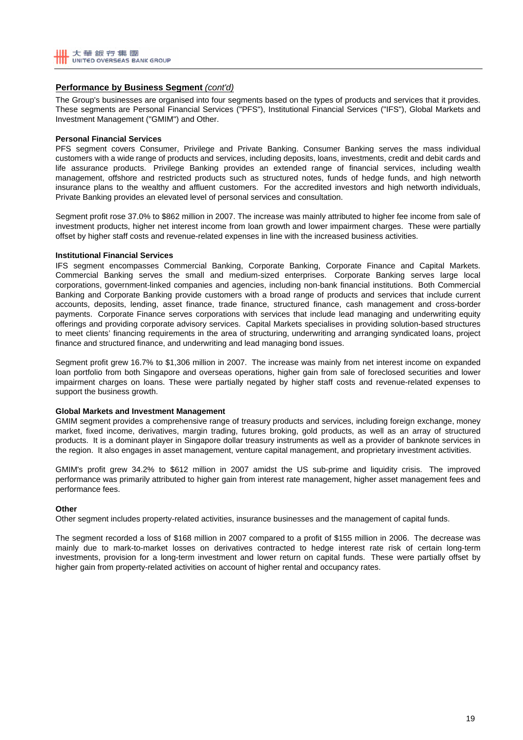## **Performance by Business Segment** *(cont'd)*

The Group's businesses are organised into four segments based on the types of products and services that it provides. These segments are Personal Financial Services ("PFS"), Institutional Financial Services ("IFS"), Global Markets and Investment Management ("GMIM") and Other.

### **Personal Financial Services**

PFS segment covers Consumer, Privilege and Private Banking. Consumer Banking serves the mass individual customers with a wide range of products and services, including deposits, loans, investments, credit and debit cards and life assurance products. Privilege Banking provides an extended range of financial services, including wealth management, offshore and restricted products such as structured notes, funds of hedge funds, and high networth insurance plans to the wealthy and affluent customers. For the accredited investors and high networth individuals, Private Banking provides an elevated level of personal services and consultation.

Segment profit rose 37.0% to \$862 million in 2007. The increase was mainly attributed to higher fee income from sale of investment products, higher net interest income from loan growth and lower impairment charges. These were partially offset by higher staff costs and revenue-related expenses in line with the increased business activities.

### **Institutional Financial Services**

IFS segment encompasses Commercial Banking, Corporate Banking, Corporate Finance and Capital Markets. Commercial Banking serves the small and medium-sized enterprises. Corporate Banking serves large local corporations, government-linked companies and agencies, including non-bank financial institutions. Both Commercial Banking and Corporate Banking provide customers with a broad range of products and services that include current accounts, deposits, lending, asset finance, trade finance, structured finance, cash management and cross-border payments. Corporate Finance serves corporations with services that include lead managing and underwriting equity offerings and providing corporate advisory services. Capital Markets specialises in providing solution-based structures to meet clients' financing requirements in the area of structuring, underwriting and arranging syndicated loans, project finance and structured finance, and underwriting and lead managing bond issues.

Segment profit grew 16.7% to \$1,306 million in 2007. The increase was mainly from net interest income on expanded loan portfolio from both Singapore and overseas operations, higher gain from sale of foreclosed securities and lower impairment charges on loans. These were partially negated by higher staff costs and revenue-related expenses to support the business growth.

### **Global Markets and Investment Management**

GMIM segment provides a comprehensive range of treasury products and services, including foreign exchange, money market, fixed income, derivatives, margin trading, futures broking, gold products, as well as an array of structured products. It is a dominant player in Singapore dollar treasury instruments as well as a provider of banknote services in the region. It also engages in asset management, venture capital management, and proprietary investment activities.

GMIM's profit grew 34.2% to \$612 million in 2007 amidst the US sub-prime and liquidity crisis. The improved performance was primarily attributed to higher gain from interest rate management, higher asset management fees and performance fees.

### **Other**

Other segment includes property-related activities, insurance businesses and the management of capital funds.

The segment recorded a loss of \$168 million in 2007 compared to a profit of \$155 million in 2006. The decrease was mainly due to mark-to-market losses on derivatives contracted to hedge interest rate risk of certain long-term investments, provision for a long-term investment and lower return on capital funds. These were partially offset by higher gain from property-related activities on account of higher rental and occupancy rates.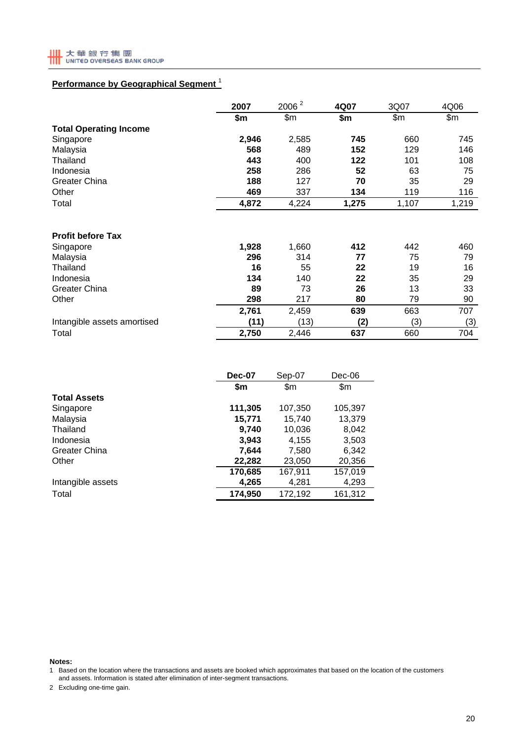

# **Performance by Geographical Segment** <sup>1</sup>

|                               | 2007  | 2006 <sup>2</sup> |       | 4Q07  |       | 3Q07 | 4Q06 |
|-------------------------------|-------|-------------------|-------|-------|-------|------|------|
|                               | \$m   | \$m\$             | \$m   | \$m   | \$m   |      |      |
| <b>Total Operating Income</b> |       |                   |       |       |       |      |      |
| Singapore                     | 2,946 | 2,585             | 745   | 660   | 745   |      |      |
| Malaysia                      | 568   | 489               | 152   | 129   | 146   |      |      |
| Thailand                      | 443   | 400               | 122   | 101   | 108   |      |      |
| Indonesia                     | 258   | 286               | 52    | 63    | 75    |      |      |
| <b>Greater China</b>          | 188   | 127               | 70    | 35    | 29    |      |      |
| Other                         | 469   | 337               | 134   | 119   | 116   |      |      |
| Total                         | 4,872 | 4,224             | 1,275 | 1,107 | 1,219 |      |      |
|                               |       |                   |       |       |       |      |      |
| <b>Profit before Tax</b>      |       |                   |       |       |       |      |      |
| Singapore                     | 1,928 | 1,660             | 412   | 442   | 460   |      |      |
| Malaysia                      | 296   | 314               | 77    | 75    | 79    |      |      |
| Thailand                      | 16    | 55                | 22    | 19    | 16    |      |      |
| Indonesia                     | 134   | 140               | 22    | 35    | 29    |      |      |
| <b>Greater China</b>          | 89    | 73                | 26    | 13    | 33    |      |      |
| Other                         | 298   | 217               | 80    | 79    | 90    |      |      |
|                               | 2,761 | 2,459             | 639   | 663   | 707   |      |      |
| Intangible assets amortised   | (11)  | (13)              | (2)   | (3)   | (3)   |      |      |
| Total                         | 2,750 | 2,446             | 637   | 660   | 704   |      |      |

|                      | <b>Dec-07</b> | Sep-07  | $Dec-06$ |
|----------------------|---------------|---------|----------|
|                      | \$m           | \$m     | \$m      |
| <b>Total Assets</b>  |               |         |          |
| Singapore            | 111,305       | 107,350 | 105,397  |
| Malaysia             | 15,771        | 15,740  | 13,379   |
| Thailand             | 9,740         | 10,036  | 8,042    |
| Indonesia            | 3,943         | 4,155   | 3,503    |
| <b>Greater China</b> | 7.644         | 7,580   | 6.342    |
| Other                | 22,282        | 23,050  | 20,356   |
|                      | 170,685       | 167,911 | 157,019  |
| Intangible assets    | 4,265         | 4,281   | 4,293    |
| Total                | 174,950       | 172,192 | 161,312  |

**Notes:**

1 Based on the location where the transactions and assets are booked which approximates that based on the location of the customers and assets. Information is stated after elimination of inter-segment transactions.

2 Excluding one-time gain.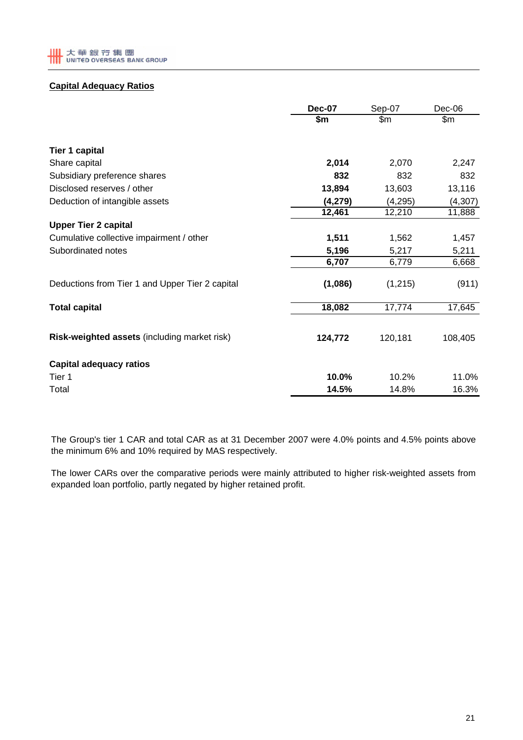# **Capital Adequacy Ratios**

|                                                 | <b>Dec-07</b> | Sep-07  | Dec-06   |
|-------------------------------------------------|---------------|---------|----------|
|                                                 | \$m           | \$m     | \$m\$    |
| <b>Tier 1 capital</b>                           |               |         |          |
| Share capital                                   | 2,014         | 2,070   | 2,247    |
| Subsidiary preference shares                    | 832           | 832     | 832      |
| Disclosed reserves / other                      | 13,894        | 13,603  | 13,116   |
| Deduction of intangible assets                  | (4,279)       | (4,295) | (4, 307) |
|                                                 | 12,461        | 12,210  | 11,888   |
| <b>Upper Tier 2 capital</b>                     |               |         |          |
| Cumulative collective impairment / other        | 1,511         | 1,562   | 1,457    |
| Subordinated notes                              | 5,196         | 5,217   | 5,211    |
|                                                 | 6,707         | 6,779   | 6,668    |
| Deductions from Tier 1 and Upper Tier 2 capital | (1,086)       | (1,215) | (911)    |
| <b>Total capital</b>                            | 18,082        | 17,774  | 17,645   |
| Risk-weighted assets (including market risk)    | 124,772       | 120,181 | 108,405  |
| <b>Capital adequacy ratios</b>                  |               |         |          |
| Tier 1                                          | 10.0%         | 10.2%   | 11.0%    |
| Total                                           | 14.5%         | 14.8%   | 16.3%    |

The Group's tier 1 CAR and total CAR as at 31 December 2007 were 4.0% points and 4.5% points above the minimum 6% and 10% required by MAS respectively.

The lower CARs over the comparative periods were mainly attributed to higher risk-weighted assets from expanded loan portfolio, partly negated by higher retained profit.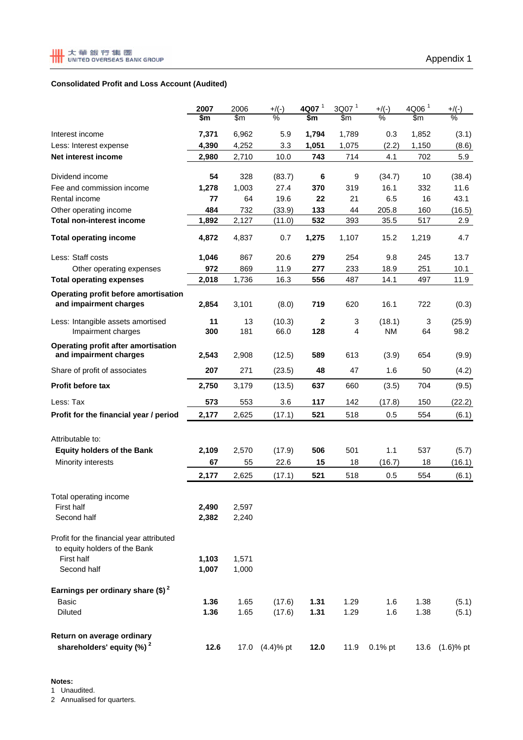# **Consolidated Profit and Loss Account (Audited)**

|                                                                           | 2007  | 2006  | $+$ /(-)       | 4Q07 <sup>1</sup> | 3Q07 <sup>1</sup> | $+$ /(-)      | 4Q06 <sup>1</sup> | $+$ /(-)       |
|---------------------------------------------------------------------------|-------|-------|----------------|-------------------|-------------------|---------------|-------------------|----------------|
|                                                                           | \$m   | \$m   | $\frac{0}{2}$  | \$m               | \$m\$             | $\frac{0}{6}$ | \$m               | $\frac{9}{6}$  |
| Interest income                                                           | 7,371 | 6,962 | 5.9            | 1,794             | 1,789             | 0.3           | 1,852             | (3.1)          |
| Less: Interest expense                                                    | 4,390 | 4,252 | 3.3            | 1,051             | 1,075             | (2.2)         | 1,150             | (8.6)          |
| Net interest income                                                       | 2,980 | 2,710 | 10.0           | 743               | 714               | 4.1           | 702               | 5.9            |
| Dividend income                                                           | 54    | 328   | (83.7)         | 6                 | 9                 | (34.7)        | 10                | (38.4)         |
| Fee and commission income                                                 | 1,278 | 1,003 | 27.4           | 370               | 319               | 16.1          | 332               | 11.6           |
| Rental income                                                             | 77    | 64    | 19.6           | 22                | 21                | 6.5           | 16                | 43.1           |
| Other operating income                                                    | 484   | 732   | (33.9)         | 133               | 44                | 205.8         | 160               | (16.5)         |
| <b>Total non-interest income</b>                                          | 1,892 | 2,127 | (11.0)         | 532               | 393               | 35.5          | 517               | 2.9            |
| <b>Total operating income</b>                                             | 4,872 | 4,837 | 0.7            | 1,275             | 1,107             | 15.2          | 1,219             | 4.7            |
| Less: Staff costs                                                         | 1,046 | 867   | 20.6           | 279               | 254               | 9.8           | 245               | 13.7           |
| Other operating expenses                                                  | 972   | 869   | 11.9           | 277               | 233               | 18.9          | 251               | 10.1           |
| <b>Total operating expenses</b>                                           | 2,018 | 1,736 | 16.3           | 556               | 487               | 14.1          | 497               | 11.9           |
| Operating profit before amortisation<br>and impairment charges            | 2,854 | 3,101 | (8.0)          | 719               | 620               | 16.1          | 722               | (0.3)          |
|                                                                           |       |       |                |                   |                   |               |                   |                |
| Less: Intangible assets amortised                                         | 11    | 13    | (10.3)         | 2                 | 3                 | (18.1)        | 3                 | (25.9)         |
| Impairment charges                                                        | 300   | 181   | 66.0           | 128               | 4                 | <b>NM</b>     | 64                | 98.2           |
| <b>Operating profit after amortisation</b><br>and impairment charges      | 2,543 | 2,908 | (12.5)         | 589               | 613               | (3.9)         | 654               | (9.9)          |
| Share of profit of associates                                             | 207   | 271   | (23.5)         | 48                | 47                | 1.6           | 50                | (4.2)          |
| <b>Profit before tax</b>                                                  | 2,750 | 3,179 | (13.5)         | 637               | 660               | (3.5)         | 704               | (9.5)          |
| Less: Tax                                                                 | 573   | 553   | 3.6            | 117               | 142               | (17.8)        | 150               | (22.2)         |
| Profit for the financial year / period                                    | 2,177 | 2,625 | (17.1)         | 521               | 518               | 0.5           | 554               | (6.1)          |
|                                                                           |       |       |                |                   |                   |               |                   |                |
| Attributable to:<br><b>Equity holders of the Bank</b>                     | 2,109 | 2,570 | (17.9)         | 506               | 501               | 1.1           | 537               |                |
|                                                                           |       |       |                |                   |                   |               |                   | (5.7)          |
| Minority interests                                                        | 67    | 55    | 22.6           | 15                | 18                | (16.7)        | 18                | (16.1)         |
|                                                                           | 2,177 | 2,625 | (17.1)         | 521               | 518               | 0.5           | 554               | (6.1)          |
| Total operating income                                                    |       |       |                |                   |                   |               |                   |                |
| First half                                                                | 2,490 | 2,597 |                |                   |                   |               |                   |                |
| Second half                                                               | 2,382 | 2,240 |                |                   |                   |               |                   |                |
| Profit for the financial year attributed<br>to equity holders of the Bank |       |       |                |                   |                   |               |                   |                |
| <b>First half</b>                                                         | 1,103 | 1,571 |                |                   |                   |               |                   |                |
| Second half                                                               | 1,007 | 1,000 |                |                   |                   |               |                   |                |
| Earnings per ordinary share $(\text{$\$})^2$                              |       |       |                |                   |                   |               |                   |                |
| <b>Basic</b>                                                              | 1.36  | 1.65  | (17.6)         | 1.31              | 1.29              | 1.6           | 1.38              | (5.1)          |
| Diluted                                                                   | 1.36  | 1.65  | (17.6)         | 1.31              | 1.29              | 1.6           | 1.38              | (5.1)          |
| Return on average ordinary                                                |       |       |                |                   |                   |               |                   |                |
| shareholders' equity (%) <sup>2</sup>                                     | 12.6  |       | 17.0 (4.4)% pt | 12.0              | 11.9              | $0.1\%$ pt    |                   | 13.6 (1.6)% pt |

# **Notes:**

1 Unaudited.

2 Annualised for quarters.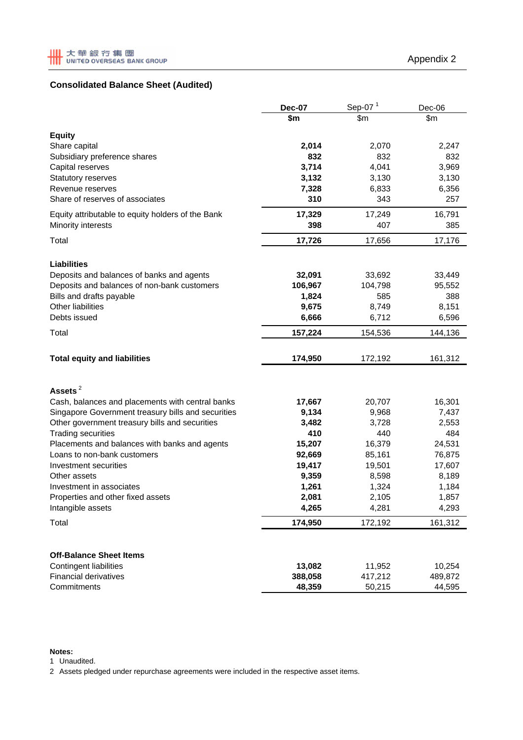# **Consolidated Balance Sheet (Audited)**

|                                                               | <b>Dec-07</b>  | Sep-07 $1$     | Dec-06         |  |
|---------------------------------------------------------------|----------------|----------------|----------------|--|
|                                                               | \$m            | \$m            | \$m            |  |
| <b>Equity</b>                                                 |                |                |                |  |
| Share capital                                                 | 2,014          | 2,070          | 2,247          |  |
| Subsidiary preference shares                                  | 832            | 832            | 832            |  |
| Capital reserves                                              | 3,714          | 4,041          | 3,969          |  |
| Statutory reserves                                            | 3,132          | 3,130          | 3,130          |  |
| Revenue reserves                                              | 7,328          | 6,833          | 6,356          |  |
| Share of reserves of associates                               | 310            | 343            | 257            |  |
| Equity attributable to equity holders of the Bank             | 17,329         | 17,249         | 16,791         |  |
| Minority interests                                            | 398            | 407            | 385            |  |
| Total                                                         | 17,726         | 17,656         | 17,176         |  |
| <b>Liabilities</b>                                            |                |                |                |  |
| Deposits and balances of banks and agents                     | 32,091         | 33,692         | 33,449         |  |
| Deposits and balances of non-bank customers                   | 106,967        | 104,798        | 95,552         |  |
| Bills and drafts payable                                      | 1,824          | 585            | 388            |  |
| Other liabilities                                             | 9,675          | 8,749          | 8,151          |  |
| Debts issued                                                  | 6,666          | 6,712          | 6,596          |  |
| Total                                                         | 157,224        | 154,536        | 144,136        |  |
| <b>Total equity and liabilities</b>                           | 174,950        | 172,192        | 161,312        |  |
|                                                               |                |                |                |  |
| Assets <sup>2</sup>                                           |                |                |                |  |
| Cash, balances and placements with central banks              | 17,667         | 20,707         | 16,301         |  |
| Singapore Government treasury bills and securities            | 9,134          | 9,968          | 7,437          |  |
| Other government treasury bills and securities                | 3,482          | 3,728          | 2,553          |  |
| <b>Trading securities</b>                                     | 410            | 440            | 484            |  |
| Placements and balances with banks and agents                 | 15,207         | 16,379         | 24,531         |  |
| Loans to non-bank customers                                   | 92,669         | 85,161         | 76,875         |  |
| Investment securities                                         | 19,417         | 19,501         | 17,607         |  |
| Other assets                                                  | 9,359<br>1,261 | 8,598          | 8,189          |  |
| Investment in associates<br>Properties and other fixed assets | 2,081          | 1,324<br>2,105 | 1,184<br>1,857 |  |
| Intangible assets                                             | 4,265          | 4,281          | 4,293          |  |
| Total                                                         | 174,950        | 172,192        | 161,312        |  |
|                                                               |                |                |                |  |
| <b>Off-Balance Sheet Items</b>                                |                |                |                |  |
| <b>Contingent liabilities</b>                                 | 13,082         | 11,952         | 10,254         |  |
| <b>Financial derivatives</b>                                  | 388,058        | 417,212        | 489,872        |  |
| Commitments                                                   | 48,359         | 50,215         | 44,595         |  |

### **Notes:**

1 Unaudited.

2 Assets pledged under repurchase agreements were included in the respective asset items.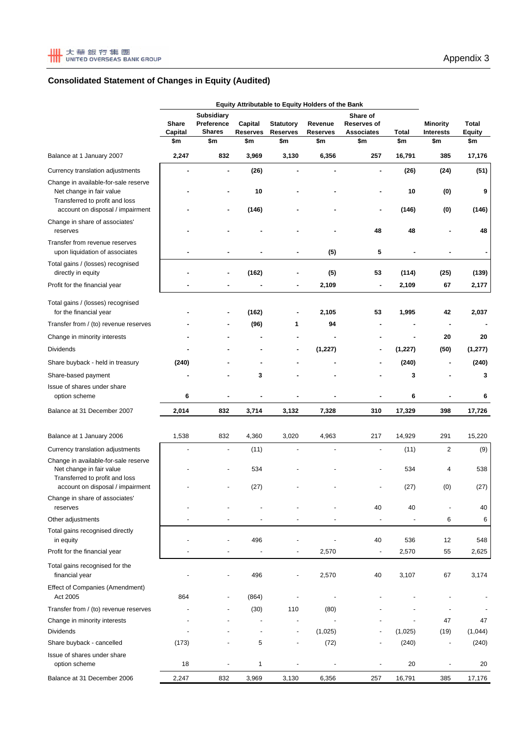# **Consolidated Statement of Changes in Equity (Audited)**

|                                                                    | Equity Attributable to Equity Holders of the Bank |         |                                                  |                                                                                                 |                                                     |                |                                     |                 |          |
|--------------------------------------------------------------------|---------------------------------------------------|---------|--------------------------------------------------|-------------------------------------------------------------------------------------------------|-----------------------------------------------------|----------------|-------------------------------------|-----------------|----------|
|                                                                    | Share                                             | Capital | <b>Subsidiary</b><br>Preference<br><b>Shares</b> | Capital<br><b>Statutory</b><br>Revenue<br><b>Reserves</b><br><b>Reserves</b><br><b>Reserves</b> | Share of<br><b>Reserves of</b><br><b>Associates</b> | Total          | <b>Minority</b><br><b>Interests</b> | Total<br>Equity |          |
|                                                                    | \$m                                               | \$m     | \$m                                              | \$m                                                                                             | \$m                                                 | \$m            | \$m                                 | \$m             | \$m      |
| Balance at 1 January 2007                                          | 2,247                                             | 832     | 3,969                                            | 3,130                                                                                           | 6,356                                               | 257            | 16,791                              | 385             | 17,176   |
| Currency translation adjustments                                   |                                                   | ٠       | (26)                                             |                                                                                                 |                                                     | ٠              | (26)                                | (24)            | (51)     |
| Change in available-for-sale reserve                               |                                                   |         |                                                  |                                                                                                 |                                                     |                |                                     |                 |          |
| Net change in fair value                                           |                                                   |         | 10                                               |                                                                                                 |                                                     | ٠              | 10                                  | (0)             | 9        |
| Transferred to profit and loss<br>account on disposal / impairment |                                                   | ä,      | (146)                                            |                                                                                                 |                                                     | ٠              | (146)                               | (0)             | (146)    |
| Change in share of associates'                                     |                                                   |         |                                                  |                                                                                                 |                                                     |                |                                     |                 |          |
| reserves                                                           |                                                   |         |                                                  |                                                                                                 |                                                     | 48             | 48                                  |                 | 48       |
| Transfer from revenue reserves                                     |                                                   |         |                                                  |                                                                                                 |                                                     |                |                                     |                 |          |
| upon liquidation of associates                                     |                                                   |         |                                                  |                                                                                                 | (5)                                                 | 5              |                                     |                 |          |
| Total gains / (losses) recognised<br>directly in equity            |                                                   |         | (162)                                            |                                                                                                 | (5)                                                 | 53             | (114)                               | (25)            | (139)    |
| Profit for the financial year                                      |                                                   |         |                                                  | $\blacksquare$                                                                                  | 2,109                                               | ٠              | 2,109                               | 67              | 2,177    |
|                                                                    |                                                   |         |                                                  |                                                                                                 |                                                     |                |                                     |                 |          |
| Total gains / (losses) recognised<br>for the financial year        |                                                   |         | (162)                                            |                                                                                                 | 2,105                                               | 53             | 1,995                               | 42              | 2,037    |
| Transfer from / (to) revenue reserves                              |                                                   |         | (96)                                             | 1                                                                                               | 94                                                  |                |                                     |                 |          |
| Change in minority interests                                       |                                                   |         |                                                  |                                                                                                 |                                                     |                |                                     | 20              | 20       |
| <b>Dividends</b>                                                   |                                                   |         |                                                  |                                                                                                 | (1, 227)                                            |                | (1, 227)                            | (50)            | (1, 277) |
| Share buyback - held in treasury                                   | (240)                                             |         |                                                  |                                                                                                 |                                                     |                | (240)                               |                 | (240)    |
| Share-based payment                                                |                                                   |         | 3                                                |                                                                                                 |                                                     |                | 3                                   |                 | 3        |
| Issue of shares under share                                        |                                                   |         |                                                  |                                                                                                 |                                                     |                |                                     |                 |          |
| option scheme                                                      | 6                                                 |         |                                                  |                                                                                                 |                                                     |                | 6                                   |                 | 6        |
| Balance at 31 December 2007                                        | 2,014                                             | 832     | 3,714                                            | 3,132                                                                                           | 7,328                                               | 310            | 17,329                              | 398             | 17,726   |
|                                                                    |                                                   |         |                                                  |                                                                                                 |                                                     |                |                                     |                 |          |
| Balance at 1 January 2006                                          | 1,538                                             | 832     | 4,360                                            | 3,020                                                                                           | 4,963                                               | 217            | 14,929                              | 291             | 15,220   |
| Currency translation adjustments                                   |                                                   | ÷,      | (11)                                             |                                                                                                 |                                                     | $\overline{a}$ | (11)                                | $\overline{c}$  | (9)      |
| Change in available-for-sale reserve<br>Net change in fair value   |                                                   |         | 534                                              |                                                                                                 |                                                     |                | 534                                 | 4               | 538      |
| Transferred to profit and loss                                     |                                                   |         |                                                  |                                                                                                 |                                                     |                |                                     |                 |          |
| account on disposal / impairment<br>Change in share of associates' |                                                   |         | (27)                                             |                                                                                                 |                                                     |                | (27)                                | (0)             | (27)     |
| reserves                                                           |                                                   |         |                                                  |                                                                                                 |                                                     | 40             | 40                                  |                 | 40       |
| Other adjustments                                                  |                                                   |         |                                                  |                                                                                                 |                                                     |                |                                     | 6               | 6        |
| Total gains recognised directly                                    |                                                   |         |                                                  |                                                                                                 |                                                     |                |                                     |                 |          |
| in equity                                                          |                                                   |         | 496                                              |                                                                                                 |                                                     | 40             | 536                                 | 12              | 548      |
| Profit for the financial year                                      |                                                   |         | ÷,                                               |                                                                                                 | 2,570                                               | $\overline{a}$ | 2,570                               | 55              | 2,625    |
| Total gains recognised for the<br>financial year                   |                                                   |         | 496                                              | $\overline{\phantom{m}}$                                                                        | 2,570                                               | 40             | 3,107                               | 67              | 3,174    |
| <b>Effect of Companies (Amendment)</b><br>Act 2005                 | 864                                               |         | (864)                                            |                                                                                                 |                                                     |                |                                     |                 |          |
| Transfer from / (to) revenue reserves                              |                                                   |         | (30)                                             | 110                                                                                             | (80)                                                |                |                                     |                 |          |
| Change in minority interests                                       |                                                   |         |                                                  |                                                                                                 |                                                     |                |                                     | 47              | 47       |
| <b>Dividends</b>                                                   |                                                   |         |                                                  | $\overline{\phantom{m}}$                                                                        | (1,025)                                             |                | (1,025)                             | (19)            | (1,044)  |
| Share buyback - cancelled                                          | (173)                                             |         | 5                                                | $\overline{\phantom{m}}$                                                                        | (72)                                                |                | (240)                               |                 | (240)    |
| Issue of shares under share<br>option scheme                       | 18                                                |         | 1                                                |                                                                                                 |                                                     |                | 20                                  |                 | 20       |
| Balance at 31 December 2006                                        | 2,247                                             | 832     | 3,969                                            | 3,130                                                                                           | 6,356                                               | 257            | 16,791                              | 385             | 17,176   |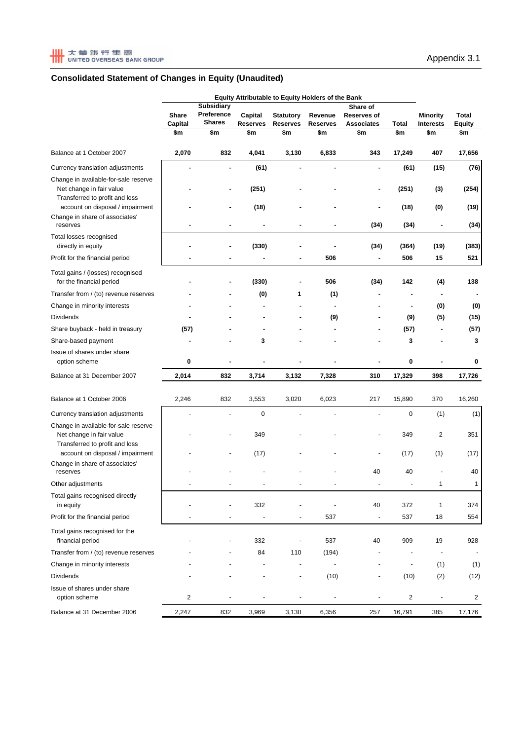|                                                                                                    | Equity Attributable to Equity Holders of the Bank |                             |                        |                        |                        |                                                |                          |                         |                               |
|----------------------------------------------------------------------------------------------------|---------------------------------------------------|-----------------------------|------------------------|------------------------|------------------------|------------------------------------------------|--------------------------|-------------------------|-------------------------------|
|                                                                                                    |                                                   | <b>Subsidiary</b>           |                        |                        |                        | Share of                                       |                          |                         | Total<br><b>Equity</b><br>\$m |
|                                                                                                    | Share<br>Capital<br>\$m                           | Preference<br><b>Shares</b> | Capital                | <b>Statutory</b>       | Revenue                | <b>Reserves of</b><br><b>Associates</b><br>\$m |                          | <b>Minority</b>         |                               |
|                                                                                                    |                                                   | \$m                         | <b>Reserves</b><br>\$m | <b>Reserves</b><br>\$m | <b>Reserves</b><br>\$m |                                                | Total<br>\$m             | <b>Interests</b><br>\$m |                               |
|                                                                                                    |                                                   |                             |                        |                        |                        |                                                |                          |                         |                               |
| Balance at 1 October 2007                                                                          | 2,070                                             | 832                         | 4,041                  | 3,130                  | 6,833                  | 343                                            | 17,249                   | 407                     | 17,656                        |
| Currency translation adjustments                                                                   |                                                   |                             | (61)                   |                        |                        |                                                | (61)                     | (15)                    | (76)                          |
| Change in available-for-sale reserve<br>Net change in fair value<br>Transferred to profit and loss |                                                   |                             | (251)                  |                        |                        |                                                | (251)                    | (3)                     | (254)                         |
| account on disposal / impairment<br>Change in share of associates'                                 |                                                   |                             | (18)                   |                        |                        |                                                | (18)                     | (0)                     | (19)                          |
| reserves                                                                                           |                                                   |                             |                        |                        |                        | (34)                                           | (34)                     |                         | (34)                          |
| Total losses recognised<br>directly in equity                                                      |                                                   |                             | (330)                  |                        |                        | (34)                                           | (364)                    | (19)                    | (383)                         |
| Profit for the financial period                                                                    |                                                   |                             | ä,                     |                        | 506                    | ÷,                                             | 506                      | 15                      | 521                           |
| Total gains / (losses) recognised<br>for the financial period                                      |                                                   |                             | (330)                  |                        | 506                    | (34)                                           | 142                      | (4)                     | 138                           |
| Transfer from / (to) revenue reserves                                                              |                                                   |                             | (0)                    | 1                      | (1)                    |                                                |                          |                         |                               |
| Change in minority interests                                                                       |                                                   |                             |                        |                        | $\blacksquare$         |                                                |                          | (0)                     | (0)                           |
| <b>Dividends</b>                                                                                   |                                                   |                             |                        |                        | (9)                    |                                                | (9)                      | (5)                     | (15)                          |
| Share buyback - held in treasury                                                                   | (57)                                              |                             |                        |                        |                        |                                                | (57)                     |                         | (57)                          |
| Share-based payment                                                                                |                                                   |                             | 3                      |                        |                        |                                                | 3                        |                         | 3                             |
| Issue of shares under share                                                                        |                                                   |                             |                        |                        |                        |                                                |                          |                         |                               |
| option scheme                                                                                      | 0                                                 |                             |                        |                        |                        |                                                | 0                        |                         | 0                             |
| Balance at 31 December 2007                                                                        | 2,014                                             | 832                         | 3,714                  | 3,132                  | 7,328                  | 310                                            | 17,329                   | 398                     | 17,726                        |
| Balance at 1 October 2006                                                                          | 2,246                                             | 832                         | 3,553                  | 3,020                  | 6,023                  | 217                                            | 15,890                   | 370                     | 16,260                        |
| Currency translation adjustments                                                                   |                                                   |                             | 0                      |                        |                        |                                                | $\mathbf 0$              | (1)                     | (1)                           |
| Change in available-for-sale reserve<br>Net change in fair value<br>Transferred to profit and loss |                                                   |                             | 349                    |                        |                        |                                                | 349                      | $\overline{2}$          | 351                           |
| account on disposal / impairment                                                                   |                                                   |                             | (17)                   |                        |                        |                                                | (17)                     | (1)                     | (17)                          |
| Change in share of associates'<br>reserves                                                         |                                                   |                             |                        |                        |                        | 40                                             | 40                       |                         | 40                            |
| Other adjustments                                                                                  |                                                   |                             |                        |                        |                        |                                                |                          | 1                       | 1                             |
| Total gains recognised directly<br>in equity                                                       |                                                   |                             | 332                    |                        |                        | 40                                             | 372                      | 1                       | 374                           |
| Profit for the financial period                                                                    |                                                   |                             |                        |                        | 537                    |                                                | 537                      | 18                      | 554                           |
| Total gains recognised for the<br>financial period                                                 |                                                   |                             | 332                    |                        | 537                    | 40                                             | 909                      | 19                      | 928                           |
| Transfer from / (to) revenue reserves                                                              |                                                   |                             | 84                     | 110                    | (194)                  |                                                |                          |                         |                               |
| Change in minority interests                                                                       |                                                   |                             |                        | ÷,                     | $\overline{a}$         |                                                | $\overline{\phantom{a}}$ | (1)                     | (1)                           |
| Dividends                                                                                          |                                                   |                             |                        | ÷,                     | (10)                   |                                                | (10)                     | (2)                     | (12)                          |
| Issue of shares under share<br>option scheme                                                       | 2                                                 |                             |                        |                        |                        |                                                | 2                        |                         | 2                             |
| Balance at 31 December 2006                                                                        | 2,247                                             | 832                         | 3,969                  | 3,130                  | 6,356                  | 257                                            | 16,791                   | 385                     | 17,176                        |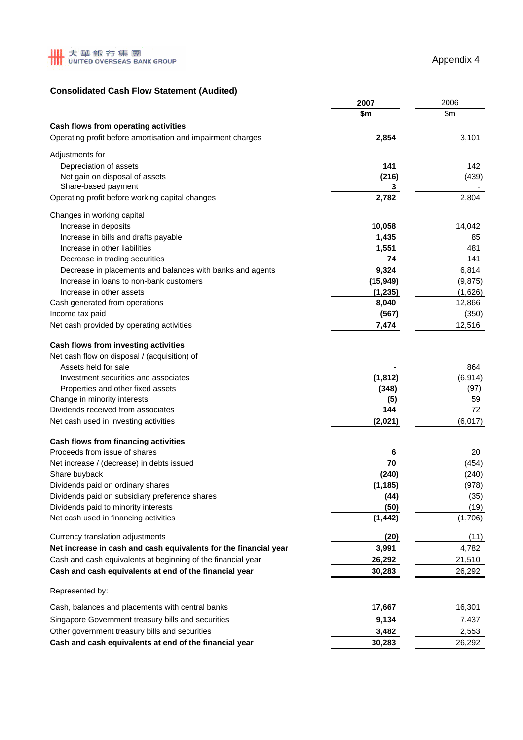# **Consolidated Cash Flow Statement (Audited)**

|                                                                  | 2007       | 2006     |  |
|------------------------------------------------------------------|------------|----------|--|
|                                                                  | \$m        | \$m\$    |  |
| Cash flows from operating activities                             |            |          |  |
| Operating profit before amortisation and impairment charges      | 2,854      | 3,101    |  |
|                                                                  |            |          |  |
| Adjustments for                                                  |            |          |  |
| Depreciation of assets                                           | 141        | 142      |  |
| Net gain on disposal of assets<br>Share-based payment            | (216)      | (439)    |  |
| Operating profit before working capital changes                  | 3<br>2,782 | 2,804    |  |
|                                                                  |            |          |  |
| Changes in working capital                                       |            |          |  |
| Increase in deposits                                             | 10,058     | 14,042   |  |
| Increase in bills and drafts payable                             | 1,435      | 85       |  |
| Increase in other liabilities                                    | 1,551      | 481      |  |
| Decrease in trading securities                                   | 74         | 141      |  |
| Decrease in placements and balances with banks and agents        | 9,324      | 6,814    |  |
| Increase in loans to non-bank customers                          | (15, 949)  | (9, 875) |  |
| Increase in other assets                                         | (1, 235)   | (1,626)  |  |
| Cash generated from operations                                   | 8,040      | 12,866   |  |
| Income tax paid                                                  | (567)      | (350)    |  |
| Net cash provided by operating activities                        | 7,474      | 12,516   |  |
|                                                                  |            |          |  |
| Cash flows from investing activities                             |            |          |  |
| Net cash flow on disposal / (acquisition) of                     |            |          |  |
| Assets held for sale                                             |            | 864      |  |
| Investment securities and associates                             | (1, 812)   | (6, 914) |  |
| Properties and other fixed assets                                | (348)      | (97)     |  |
| Change in minority interests                                     | (5)        | 59       |  |
| Dividends received from associates                               | 144        | 72       |  |
| Net cash used in investing activities                            | (2,021)    | (6,017)  |  |
| Cash flows from financing activities                             |            |          |  |
| Proceeds from issue of shares                                    | 6          | 20       |  |
| Net increase / (decrease) in debts issued                        | 70         | (454)    |  |
| Share buyback                                                    | (240)      | (240)    |  |
| Dividends paid on ordinary shares                                | (1, 185)   | (978)    |  |
| Dividends paid on subsidiary preference shares                   | (44)       | (35)     |  |
| Dividends paid to minority interests                             | (50)       | (19)     |  |
| Net cash used in financing activities                            | (1, 442)   | (1,706)  |  |
|                                                                  |            |          |  |
| Currency translation adjustments                                 | (20)       | (11)     |  |
| Net increase in cash and cash equivalents for the financial year | 3,991      | 4,782    |  |
| Cash and cash equivalents at beginning of the financial year     | 26,292     | 21,510   |  |
| Cash and cash equivalents at end of the financial year           | 30,283     | 26,292   |  |
| Represented by:                                                  |            |          |  |
| Cash, balances and placements with central banks                 | 17,667     | 16,301   |  |
| Singapore Government treasury bills and securities               | 9,134      | 7,437    |  |
| Other government treasury bills and securities                   | 3,482      | 2,553    |  |
| Cash and cash equivalents at end of the financial year           | 30,283     | 26,292   |  |
|                                                                  |            |          |  |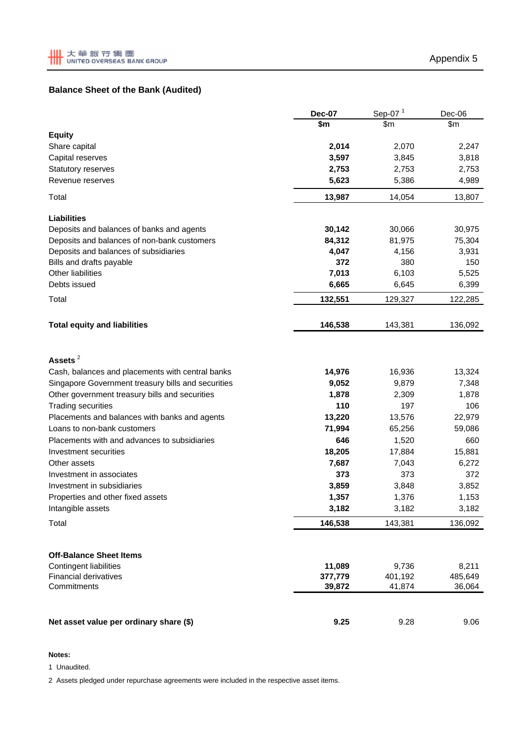# **Balance Sheet of the Bank (Audited)**

|                                                    | <b>Dec-07</b> | Sep-07 <sup>1</sup> | Dec-06  |
|----------------------------------------------------|---------------|---------------------|---------|
|                                                    | \$m           | \$m                 | \$m\$   |
| <b>Equity</b>                                      |               |                     |         |
| Share capital                                      | 2,014         | 2,070               | 2,247   |
| Capital reserves                                   | 3,597         | 3,845               | 3,818   |
| Statutory reserves                                 | 2,753         | 2,753               | 2,753   |
| Revenue reserves                                   | 5,623         | 5,386               | 4,989   |
| Total                                              | 13,987        | 14,054              | 13,807  |
| <b>Liabilities</b>                                 |               |                     |         |
| Deposits and balances of banks and agents          | 30,142        | 30,066              | 30,975  |
| Deposits and balances of non-bank customers        | 84,312        | 81,975              | 75,304  |
| Deposits and balances of subsidiaries              | 4,047         | 4,156               | 3,931   |
| Bills and drafts payable                           | 372           | 380                 | 150     |
| Other liabilities                                  | 7,013         | 6,103               | 5,525   |
| Debts issued                                       | 6,665         | 6,645               | 6,399   |
| Total                                              | 132,551       | 129,327             | 122,285 |
| <b>Total equity and liabilities</b>                | 146,538       | 143,381             | 136,092 |
|                                                    |               |                     |         |
| Assets <sup>2</sup>                                |               |                     |         |
| Cash, balances and placements with central banks   | 14,976        | 16,936              | 13,324  |
| Singapore Government treasury bills and securities | 9,052         | 9,879               | 7,348   |
| Other government treasury bills and securities     | 1,878         | 2,309               | 1,878   |
| <b>Trading securities</b>                          | 110           | 197                 | 106     |
| Placements and balances with banks and agents      | 13,220        | 13,576              | 22,979  |
| Loans to non-bank customers                        | 71,994        | 65,256              | 59,086  |
| Placements with and advances to subsidiaries       | 646           | 1,520               | 660     |
| Investment securities                              | 18,205        | 17,884              | 15,881  |
| Other assets                                       | 7,687         | 7,043               | 6,272   |
| Investment in associates                           | 373           | 373                 | 372     |
| Investment in subsidiaries                         | 3,859         | 3,848               | 3,852   |
| Properties and other fixed assets                  | 1,357         | 1,376               | 1,153   |
| Intangible assets                                  | 3,182         | 3,182               | 3,182   |
| Total                                              | 146,538       | 143,381             | 136,092 |
|                                                    |               |                     |         |
| <b>Off-Balance Sheet Items</b>                     |               |                     |         |
| Contingent liabilities                             | 11,089        | 9,736               | 8,211   |
| <b>Financial derivatives</b>                       | 377,779       | 401,192             | 485,649 |
| Commitments                                        | 39,872        | 41,874              | 36,064  |
|                                                    |               |                     |         |
| Net asset value per ordinary share (\$)            | 9.25          | 9.28                | 9.06    |

# **Notes:**

1 Unaudited.

2 Assets pledged under repurchase agreements were included in the respective asset items.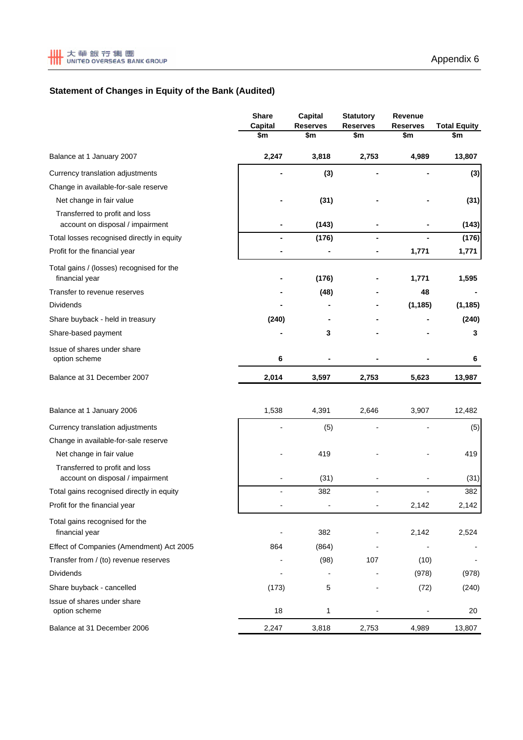# **Statement of Changes in Equity of the Bank (Audited)**

|                                                                    | <b>Share</b><br>Capital | <b>Capital</b><br><b>Reserves</b> | <b>Statutory</b><br><b>Reserves</b> | Revenue<br><b>Reserves</b> | <b>Total Equity</b> |
|--------------------------------------------------------------------|-------------------------|-----------------------------------|-------------------------------------|----------------------------|---------------------|
|                                                                    | \$m                     | \$m                               | \$m                                 | \$m                        | \$m                 |
| Balance at 1 January 2007                                          | 2,247                   | 3,818                             | 2,753                               | 4,989                      | 13,807              |
| Currency translation adjustments                                   |                         | (3)                               |                                     |                            | (3)                 |
| Change in available-for-sale reserve                               |                         |                                   |                                     |                            |                     |
| Net change in fair value                                           |                         | (31)                              |                                     |                            | (31)                |
| Transferred to profit and loss<br>account on disposal / impairment |                         | (143)                             |                                     |                            | (143)               |
| Total losses recognised directly in equity                         |                         | (176)                             |                                     |                            | (176)               |
| Profit for the financial year                                      |                         |                                   |                                     | 1,771                      | 1,771               |
| Total gains / (losses) recognised for the<br>financial year        |                         | (176)                             |                                     | 1,771                      | 1,595               |
| Transfer to revenue reserves                                       |                         | (48)                              |                                     | 48                         |                     |
| <b>Dividends</b>                                                   |                         |                                   |                                     | (1, 185)                   | (1, 185)            |
| Share buyback - held in treasury                                   | (240)                   |                                   |                                     |                            | (240)               |
| Share-based payment                                                |                         | 3                                 |                                     |                            | 3                   |
| Issue of shares under share<br>option scheme                       | 6                       |                                   |                                     |                            | 6                   |
| Balance at 31 December 2007                                        | 2,014                   | 3,597                             | 2,753                               | 5,623                      | 13,987              |
| Balance at 1 January 2006                                          | 1,538                   | 4,391                             | 2,646                               | 3,907                      | 12,482              |
| Currency translation adjustments                                   |                         | (5)                               |                                     |                            | (5)                 |
| Change in available-for-sale reserve                               |                         |                                   |                                     |                            |                     |
| Net change in fair value                                           |                         | 419                               |                                     |                            | 419                 |
| Transferred to profit and loss<br>account on disposal / impairment |                         | (31)                              |                                     |                            | (31)                |
| Total gains recognised directly in equity                          |                         | 382                               |                                     |                            | 382                 |
| Profit for the financial year                                      |                         |                                   |                                     | 2,142                      | 2,142               |
| Total gains recognised for the<br>financial year                   |                         | 382                               |                                     | 2,142                      | 2,524               |
| Effect of Companies (Amendment) Act 2005                           | 864                     | (864)                             |                                     |                            |                     |
| Transfer from / (to) revenue reserves                              |                         | (98)                              | 107                                 | (10)                       |                     |
| <b>Dividends</b>                                                   |                         |                                   |                                     | (978)                      | (978)               |
| Share buyback - cancelled                                          | (173)                   | 5                                 |                                     | (72)                       | (240)               |
| Issue of shares under share<br>option scheme                       | 18                      | 1                                 |                                     |                            | 20                  |
| Balance at 31 December 2006                                        | 2,247                   | 3,818                             | 2,753                               | 4,989                      | 13,807              |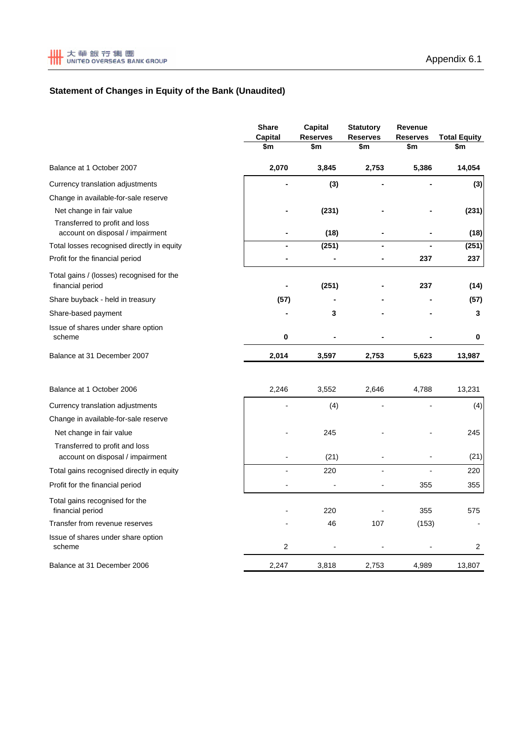# **Statement of Changes in Equity of the Bank (Unaudited)**

|                                                                    | <b>Share</b><br><b>Capital</b> | <b>Capital</b><br><b>Reserves</b> | <b>Statutory</b><br><b>Reserves</b> | Revenue<br><b>Reserves</b> | <b>Total Equity</b> |
|--------------------------------------------------------------------|--------------------------------|-----------------------------------|-------------------------------------|----------------------------|---------------------|
|                                                                    | \$m                            | \$m                               | \$m                                 | \$m                        | \$m                 |
| Balance at 1 October 2007                                          | 2,070                          | 3,845                             | 2,753                               | 5,386                      | 14,054              |
| Currency translation adjustments                                   |                                | (3)                               |                                     |                            | (3)                 |
| Change in available-for-sale reserve                               |                                |                                   |                                     |                            |                     |
| Net change in fair value                                           |                                | (231)                             |                                     |                            | (231)               |
| Transferred to profit and loss<br>account on disposal / impairment | $\blacksquare$                 | (18)                              | $\blacksquare$                      |                            | (18)                |
| Total losses recognised directly in equity                         |                                | (251)                             |                                     |                            | (251)               |
| Profit for the financial period                                    |                                |                                   |                                     | 237                        | 237                 |
| Total gains / (losses) recognised for the<br>financial period      |                                | (251)                             |                                     | 237                        | (14)                |
| Share buyback - held in treasury                                   | (57)                           |                                   |                                     |                            | (57)                |
| Share-based payment                                                |                                | 3                                 |                                     |                            | 3                   |
| Issue of shares under share option<br>scheme                       | 0                              |                                   |                                     |                            | 0                   |
| Balance at 31 December 2007                                        | 2,014                          | 3,597                             | 2,753                               | 5,623                      | 13,987              |
| Balance at 1 October 2006                                          | 2,246                          | 3,552                             | 2,646                               | 4,788                      | 13,231              |
| Currency translation adjustments                                   |                                | (4)                               |                                     |                            | (4)                 |
| Change in available-for-sale reserve                               |                                |                                   |                                     |                            |                     |
| Net change in fair value                                           |                                | 245                               |                                     |                            | 245                 |
| Transferred to profit and loss<br>account on disposal / impairment |                                | (21)                              |                                     |                            | (21)                |
| Total gains recognised directly in equity                          |                                | 220                               |                                     |                            | 220                 |
| Profit for the financial period                                    |                                |                                   | $\overline{a}$                      | 355                        | 355                 |
| Total gains recognised for the<br>financial period                 |                                | 220                               |                                     | 355                        | 575                 |
| Transfer from revenue reserves                                     |                                | 46                                | 107                                 | (153)                      |                     |
| Issue of shares under share option<br>scheme                       | 2                              |                                   |                                     |                            | 2                   |
| Balance at 31 December 2006                                        | 2,247                          | 3,818                             | 2,753                               | 4,989                      | 13,807              |